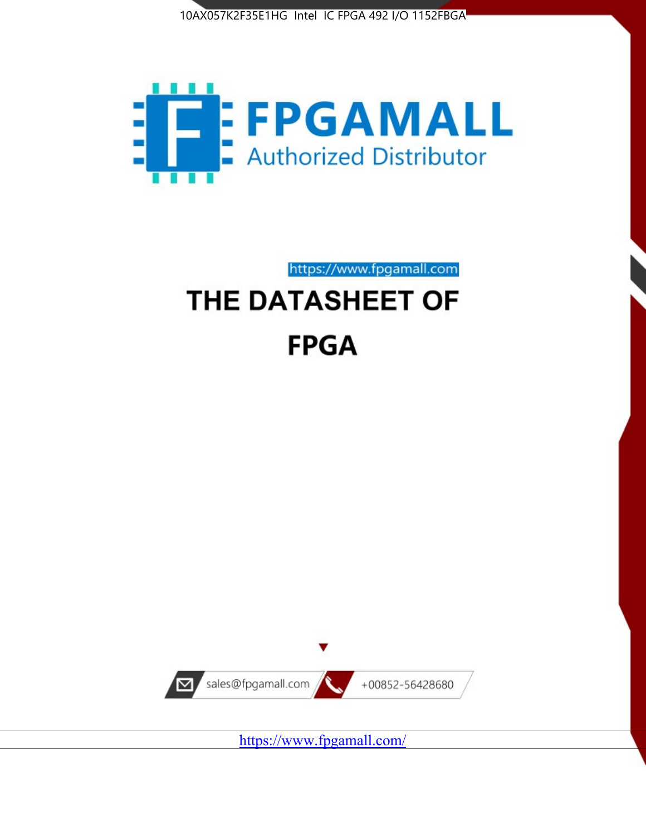



https://www.fpgamall.com THE DATASHEET OF

# **FPGA**



<https://www.fpgamall.com/>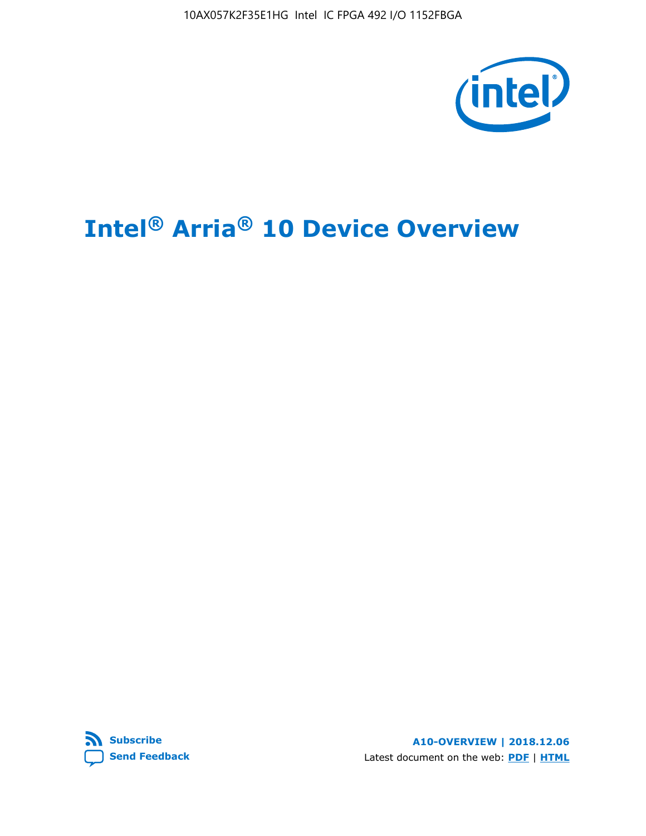10AX057K2F35E1HG Intel IC FPGA 492 I/O 1152FBGA



# **Intel® Arria® 10 Device Overview**



**A10-OVERVIEW | 2018.12.06** Latest document on the web: **[PDF](https://www.intel.com/content/dam/www/programmable/us/en/pdfs/literature/hb/arria-10/a10_overview.pdf)** | **[HTML](https://www.intel.com/content/www/us/en/programmable/documentation/sam1403480274650.html)**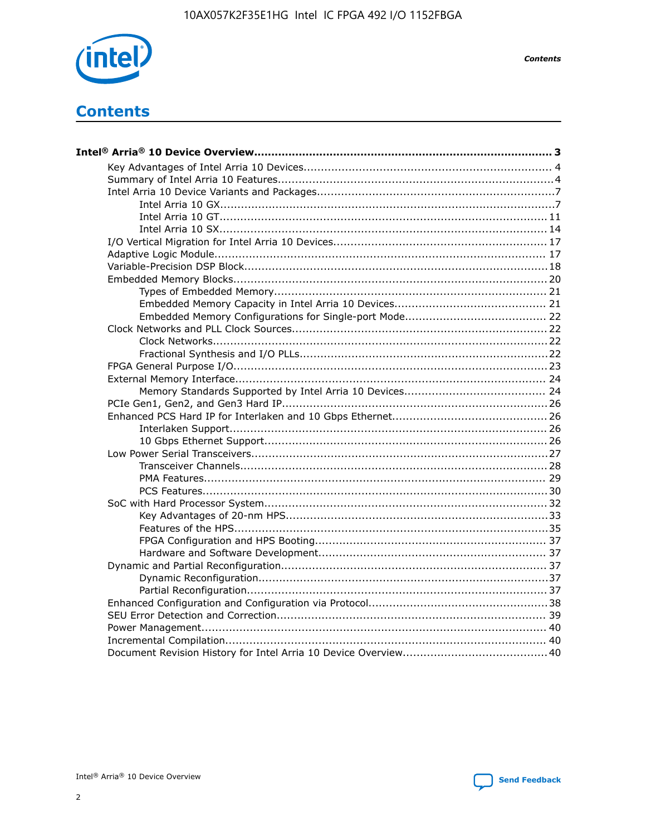

**Contents** 

# **Contents**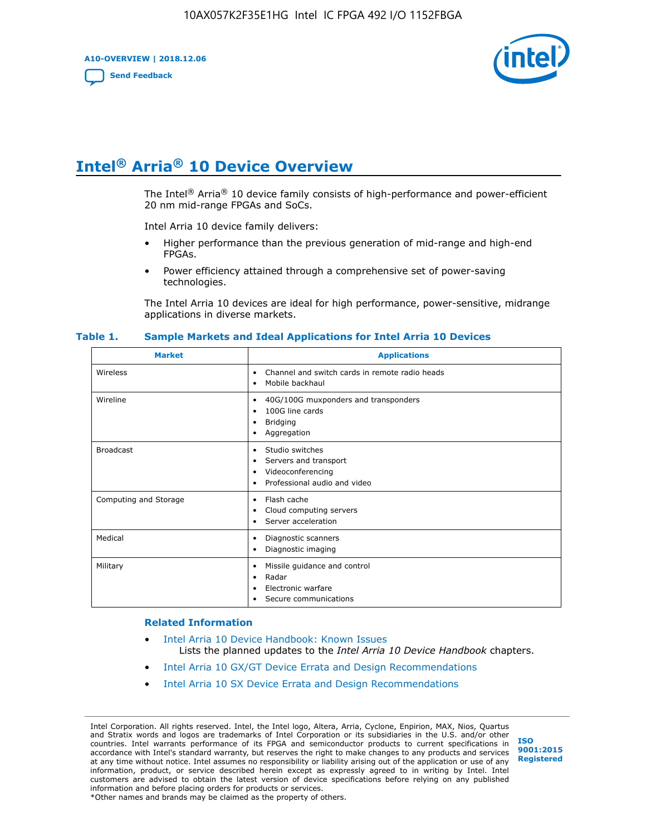**A10-OVERVIEW | 2018.12.06**

**[Send Feedback](mailto:FPGAtechdocfeedback@intel.com?subject=Feedback%20on%20Intel%20Arria%2010%20Device%20Overview%20(A10-OVERVIEW%202018.12.06)&body=We%20appreciate%20your%20feedback.%20In%20your%20comments,%20also%20specify%20the%20page%20number%20or%20paragraph.%20Thank%20you.)**



# **Intel® Arria® 10 Device Overview**

The Intel<sup>®</sup> Arria<sup>®</sup> 10 device family consists of high-performance and power-efficient 20 nm mid-range FPGAs and SoCs.

Intel Arria 10 device family delivers:

- Higher performance than the previous generation of mid-range and high-end FPGAs.
- Power efficiency attained through a comprehensive set of power-saving technologies.

The Intel Arria 10 devices are ideal for high performance, power-sensitive, midrange applications in diverse markets.

| <b>Market</b>         | <b>Applications</b>                                                                                                                       |
|-----------------------|-------------------------------------------------------------------------------------------------------------------------------------------|
| Wireless              | Channel and switch cards in remote radio heads<br>$\bullet$<br>Mobile backhaul<br>$\bullet$                                               |
| Wireline              | 40G/100G muxponders and transponders<br>٠<br>100G line cards<br>$\bullet$<br><b>Bridging</b><br>٠<br>Aggregation<br>$\bullet$             |
| <b>Broadcast</b>      | Studio switches<br>$\bullet$<br>Servers and transport<br>$\bullet$<br>Videoconferencing<br>٠<br>Professional audio and video<br>$\bullet$ |
| Computing and Storage | Flash cache<br>$\bullet$<br>Cloud computing servers<br>$\bullet$<br>Server acceleration<br>$\bullet$                                      |
| Medical               | Diagnostic scanners<br>$\bullet$<br>Diagnostic imaging<br>$\bullet$                                                                       |
| Military              | Missile guidance and control<br>$\bullet$<br>Radar<br>$\bullet$<br>Electronic warfare<br>$\bullet$<br>Secure communications<br>٠          |

#### **Table 1. Sample Markets and Ideal Applications for Intel Arria 10 Devices**

#### **Related Information**

- [Intel Arria 10 Device Handbook: Known Issues](http://www.altera.com/support/kdb/solutions/rd07302013_646.html) Lists the planned updates to the *Intel Arria 10 Device Handbook* chapters.
- [Intel Arria 10 GX/GT Device Errata and Design Recommendations](https://www.intel.com/content/www/us/en/programmable/documentation/agz1493851706374.html#yqz1494433888646)
- [Intel Arria 10 SX Device Errata and Design Recommendations](https://www.intel.com/content/www/us/en/programmable/documentation/cru1462832385668.html#cru1462832558642)

Intel Corporation. All rights reserved. Intel, the Intel logo, Altera, Arria, Cyclone, Enpirion, MAX, Nios, Quartus and Stratix words and logos are trademarks of Intel Corporation or its subsidiaries in the U.S. and/or other countries. Intel warrants performance of its FPGA and semiconductor products to current specifications in accordance with Intel's standard warranty, but reserves the right to make changes to any products and services at any time without notice. Intel assumes no responsibility or liability arising out of the application or use of any information, product, or service described herein except as expressly agreed to in writing by Intel. Intel customers are advised to obtain the latest version of device specifications before relying on any published information and before placing orders for products or services. \*Other names and brands may be claimed as the property of others.

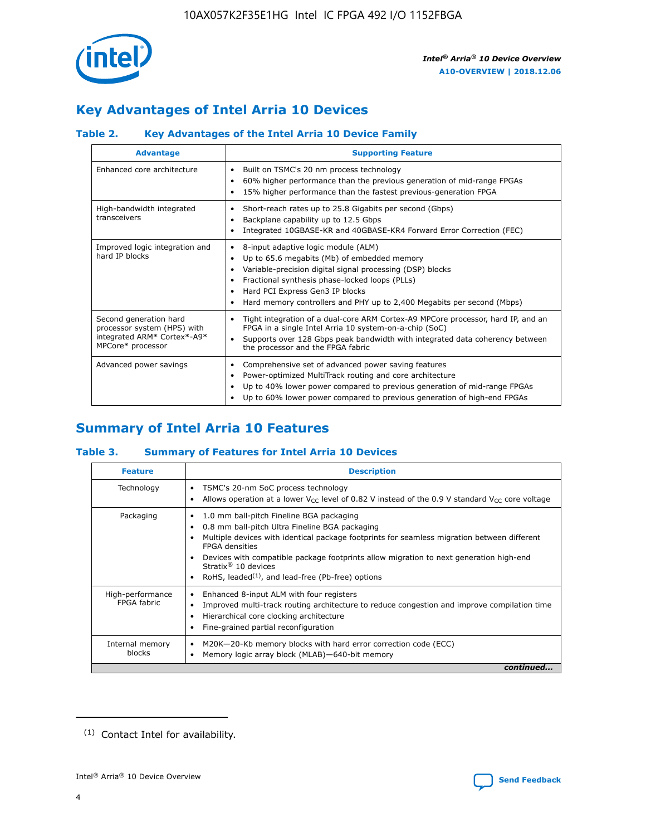

# **Key Advantages of Intel Arria 10 Devices**

## **Table 2. Key Advantages of the Intel Arria 10 Device Family**

| <b>Advantage</b>                                                                                          | <b>Supporting Feature</b>                                                                                                                                                                                                                                                                                                |
|-----------------------------------------------------------------------------------------------------------|--------------------------------------------------------------------------------------------------------------------------------------------------------------------------------------------------------------------------------------------------------------------------------------------------------------------------|
| Enhanced core architecture                                                                                | Built on TSMC's 20 nm process technology<br>٠<br>60% higher performance than the previous generation of mid-range FPGAs<br>٠<br>15% higher performance than the fastest previous-generation FPGA<br>٠                                                                                                                    |
| High-bandwidth integrated<br>transceivers                                                                 | Short-reach rates up to 25.8 Gigabits per second (Gbps)<br>٠<br>Backplane capability up to 12.5 Gbps<br>٠<br>Integrated 10GBASE-KR and 40GBASE-KR4 Forward Error Correction (FEC)<br>٠                                                                                                                                   |
| Improved logic integration and<br>hard IP blocks                                                          | 8-input adaptive logic module (ALM)<br>٠<br>Up to 65.6 megabits (Mb) of embedded memory<br>٠<br>Variable-precision digital signal processing (DSP) blocks<br>Fractional synthesis phase-locked loops (PLLs)<br>Hard PCI Express Gen3 IP blocks<br>Hard memory controllers and PHY up to 2,400 Megabits per second (Mbps) |
| Second generation hard<br>processor system (HPS) with<br>integrated ARM* Cortex*-A9*<br>MPCore* processor | Tight integration of a dual-core ARM Cortex-A9 MPCore processor, hard IP, and an<br>٠<br>FPGA in a single Intel Arria 10 system-on-a-chip (SoC)<br>Supports over 128 Gbps peak bandwidth with integrated data coherency between<br>$\bullet$<br>the processor and the FPGA fabric                                        |
| Advanced power savings                                                                                    | Comprehensive set of advanced power saving features<br>٠<br>Power-optimized MultiTrack routing and core architecture<br>٠<br>Up to 40% lower power compared to previous generation of mid-range FPGAs<br>٠<br>Up to 60% lower power compared to previous generation of high-end FPGAs                                    |

# **Summary of Intel Arria 10 Features**

## **Table 3. Summary of Features for Intel Arria 10 Devices**

| <b>Feature</b>                  | <b>Description</b>                                                                                                                                                                                                                                                                                                                                                                                 |
|---------------------------------|----------------------------------------------------------------------------------------------------------------------------------------------------------------------------------------------------------------------------------------------------------------------------------------------------------------------------------------------------------------------------------------------------|
| Technology                      | TSMC's 20-nm SoC process technology<br>Allows operation at a lower $V_{\text{CC}}$ level of 0.82 V instead of the 0.9 V standard $V_{\text{CC}}$ core voltage                                                                                                                                                                                                                                      |
| Packaging                       | 1.0 mm ball-pitch Fineline BGA packaging<br>٠<br>0.8 mm ball-pitch Ultra Fineline BGA packaging<br>Multiple devices with identical package footprints for seamless migration between different<br><b>FPGA</b> densities<br>Devices with compatible package footprints allow migration to next generation high-end<br>Stratix $@10$ devices<br>RoHS, leaded $(1)$ , and lead-free (Pb-free) options |
| High-performance<br>FPGA fabric | Enhanced 8-input ALM with four registers<br>Improved multi-track routing architecture to reduce congestion and improve compilation time<br>Hierarchical core clocking architecture<br>Fine-grained partial reconfiguration                                                                                                                                                                         |
| Internal memory<br>blocks       | M20K-20-Kb memory blocks with hard error correction code (ECC)<br>Memory logic array block (MLAB)-640-bit memory                                                                                                                                                                                                                                                                                   |
|                                 | continued                                                                                                                                                                                                                                                                                                                                                                                          |



<sup>(1)</sup> Contact Intel for availability.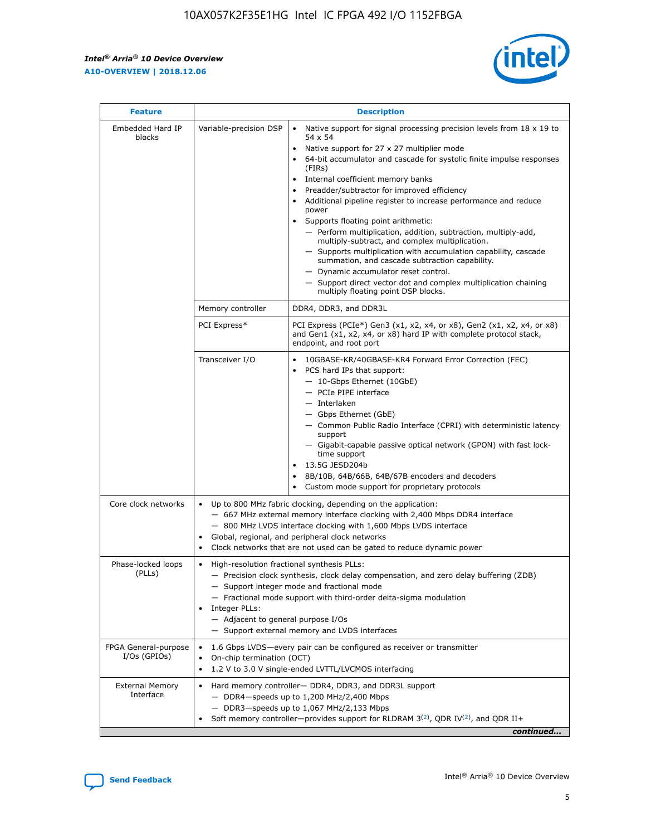r



| <b>Feature</b>                         |                                                                                                                | <b>Description</b>                                                                                                                                                                                                                                                                                                                                                                                                                                                                                                                                                                                                                                                                                                                                                                                                                                               |
|----------------------------------------|----------------------------------------------------------------------------------------------------------------|------------------------------------------------------------------------------------------------------------------------------------------------------------------------------------------------------------------------------------------------------------------------------------------------------------------------------------------------------------------------------------------------------------------------------------------------------------------------------------------------------------------------------------------------------------------------------------------------------------------------------------------------------------------------------------------------------------------------------------------------------------------------------------------------------------------------------------------------------------------|
| Embedded Hard IP<br>blocks             | Variable-precision DSP                                                                                         | Native support for signal processing precision levels from $18 \times 19$ to<br>$\bullet$<br>54 x 54<br>Native support for 27 x 27 multiplier mode<br>$\bullet$<br>64-bit accumulator and cascade for systolic finite impulse responses<br>(FIRs)<br>Internal coefficient memory banks<br>$\bullet$<br>Preadder/subtractor for improved efficiency<br>Additional pipeline register to increase performance and reduce<br>power<br>Supports floating point arithmetic:<br>- Perform multiplication, addition, subtraction, multiply-add,<br>multiply-subtract, and complex multiplication.<br>- Supports multiplication with accumulation capability, cascade<br>summation, and cascade subtraction capability.<br>- Dynamic accumulator reset control.<br>- Support direct vector dot and complex multiplication chaining<br>multiply floating point DSP blocks. |
|                                        | Memory controller                                                                                              | DDR4, DDR3, and DDR3L                                                                                                                                                                                                                                                                                                                                                                                                                                                                                                                                                                                                                                                                                                                                                                                                                                            |
|                                        | PCI Express*                                                                                                   | PCI Express (PCIe*) Gen3 (x1, x2, x4, or x8), Gen2 (x1, x2, x4, or x8)<br>and Gen1 (x1, x2, x4, or x8) hard IP with complete protocol stack,<br>endpoint, and root port                                                                                                                                                                                                                                                                                                                                                                                                                                                                                                                                                                                                                                                                                          |
|                                        | Transceiver I/O                                                                                                | 10GBASE-KR/40GBASE-KR4 Forward Error Correction (FEC)<br>PCS hard IPs that support:<br>- 10-Gbps Ethernet (10GbE)<br>- PCIe PIPE interface<br>- Interlaken<br>- Gbps Ethernet (GbE)<br>- Common Public Radio Interface (CPRI) with deterministic latency<br>support<br>- Gigabit-capable passive optical network (GPON) with fast lock-<br>time support<br>13.5G JESD204b<br>$\bullet$<br>8B/10B, 64B/66B, 64B/67B encoders and decoders<br>Custom mode support for proprietary protocols                                                                                                                                                                                                                                                                                                                                                                        |
| Core clock networks                    | $\bullet$                                                                                                      | Up to 800 MHz fabric clocking, depending on the application:<br>- 667 MHz external memory interface clocking with 2,400 Mbps DDR4 interface<br>- 800 MHz LVDS interface clocking with 1,600 Mbps LVDS interface<br>Global, regional, and peripheral clock networks<br>Clock networks that are not used can be gated to reduce dynamic power                                                                                                                                                                                                                                                                                                                                                                                                                                                                                                                      |
| Phase-locked loops<br>(PLLs)           | High-resolution fractional synthesis PLLs:<br>$\bullet$<br>Integer PLLs:<br>- Adjacent to general purpose I/Os | - Precision clock synthesis, clock delay compensation, and zero delay buffering (ZDB)<br>- Support integer mode and fractional mode<br>- Fractional mode support with third-order delta-sigma modulation<br>- Support external memory and LVDS interfaces                                                                                                                                                                                                                                                                                                                                                                                                                                                                                                                                                                                                        |
| FPGA General-purpose<br>$I/Os$ (GPIOs) | On-chip termination (OCT)<br>٠<br>$\bullet$                                                                    | 1.6 Gbps LVDS-every pair can be configured as receiver or transmitter<br>1.2 V to 3.0 V single-ended LVTTL/LVCMOS interfacing                                                                                                                                                                                                                                                                                                                                                                                                                                                                                                                                                                                                                                                                                                                                    |
| <b>External Memory</b><br>Interface    | $\bullet$                                                                                                      | Hard memory controller- DDR4, DDR3, and DDR3L support<br>$-$ DDR4-speeds up to 1,200 MHz/2,400 Mbps<br>- DDR3-speeds up to 1,067 MHz/2,133 Mbps<br>Soft memory controller—provides support for RLDRAM $3^{(2)}$ , QDR IV $^{(2)}$ , and QDR II+<br>continued                                                                                                                                                                                                                                                                                                                                                                                                                                                                                                                                                                                                     |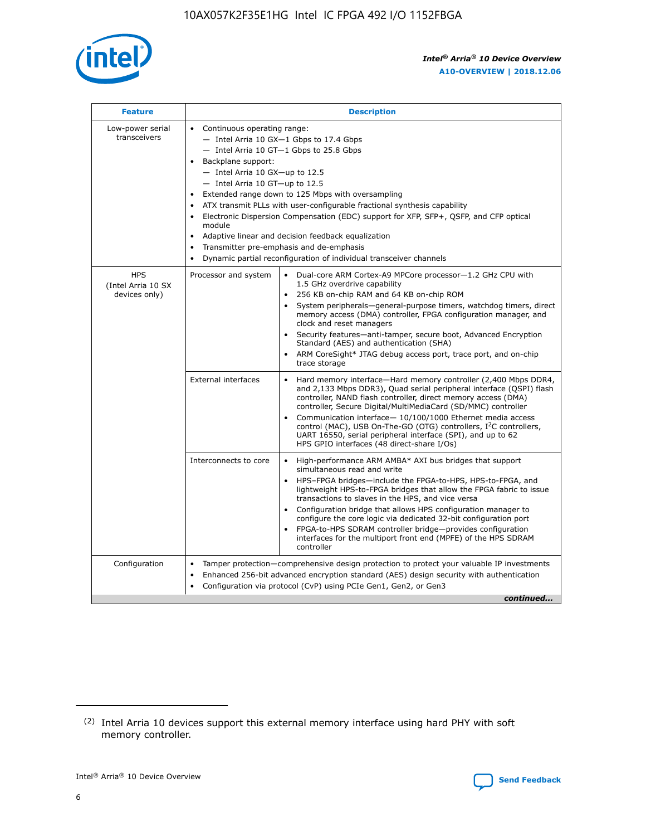

| <b>Feature</b>                                    | <b>Description</b>                                                                                                                                                                                                                                                                                                                                                                                                                                                                                                                                                                                                                                    |
|---------------------------------------------------|-------------------------------------------------------------------------------------------------------------------------------------------------------------------------------------------------------------------------------------------------------------------------------------------------------------------------------------------------------------------------------------------------------------------------------------------------------------------------------------------------------------------------------------------------------------------------------------------------------------------------------------------------------|
| Low-power serial<br>transceivers                  | • Continuous operating range:<br>- Intel Arria 10 GX-1 Gbps to 17.4 Gbps<br>- Intel Arria 10 GT-1 Gbps to 25.8 Gbps<br>Backplane support:<br>$-$ Intel Arria 10 GX-up to 12.5<br>- Intel Arria 10 GT-up to 12.5<br>Extended range down to 125 Mbps with oversampling<br>ATX transmit PLLs with user-configurable fractional synthesis capability<br>Electronic Dispersion Compensation (EDC) support for XFP, SFP+, QSFP, and CFP optical<br>module<br>Adaptive linear and decision feedback equalization<br>$\bullet$<br>Transmitter pre-emphasis and de-emphasis<br>$\bullet$<br>Dynamic partial reconfiguration of individual transceiver channels |
| <b>HPS</b><br>(Intel Arria 10 SX<br>devices only) | • Dual-core ARM Cortex-A9 MPCore processor-1.2 GHz CPU with<br>Processor and system<br>1.5 GHz overdrive capability<br>256 KB on-chip RAM and 64 KB on-chip ROM<br>System peripherals—general-purpose timers, watchdog timers, direct<br>memory access (DMA) controller, FPGA configuration manager, and<br>clock and reset managers<br>• Security features—anti-tamper, secure boot, Advanced Encryption<br>Standard (AES) and authentication (SHA)<br>ARM CoreSight* JTAG debug access port, trace port, and on-chip<br>trace storage                                                                                                               |
|                                                   | <b>External interfaces</b><br>Hard memory interface-Hard memory controller (2,400 Mbps DDR4,<br>$\bullet$<br>and 2,133 Mbps DDR3), Quad serial peripheral interface (QSPI) flash<br>controller, NAND flash controller, direct memory access (DMA)<br>controller, Secure Digital/MultiMediaCard (SD/MMC) controller<br>Communication interface-10/100/1000 Ethernet media access<br>$\bullet$<br>control (MAC), USB On-The-GO (OTG) controllers, I <sup>2</sup> C controllers,<br>UART 16550, serial peripheral interface (SPI), and up to 62<br>HPS GPIO interfaces (48 direct-share I/Os)                                                            |
|                                                   | • High-performance ARM AMBA* AXI bus bridges that support<br>Interconnects to core<br>simultaneous read and write<br>HPS-FPGA bridges-include the FPGA-to-HPS, HPS-to-FPGA, and<br>$\bullet$<br>lightweight HPS-to-FPGA bridges that allow the FPGA fabric to issue<br>transactions to slaves in the HPS, and vice versa<br>Configuration bridge that allows HPS configuration manager to<br>configure the core logic via dedicated 32-bit configuration port<br>FPGA-to-HPS SDRAM controller bridge-provides configuration<br>interfaces for the multiport front end (MPFE) of the HPS SDRAM<br>controller                                           |
| Configuration                                     | Tamper protection—comprehensive design protection to protect your valuable IP investments<br>Enhanced 256-bit advanced encryption standard (AES) design security with authentication<br>٠<br>Configuration via protocol (CvP) using PCIe Gen1, Gen2, or Gen3<br>continued                                                                                                                                                                                                                                                                                                                                                                             |

<sup>(2)</sup> Intel Arria 10 devices support this external memory interface using hard PHY with soft memory controller.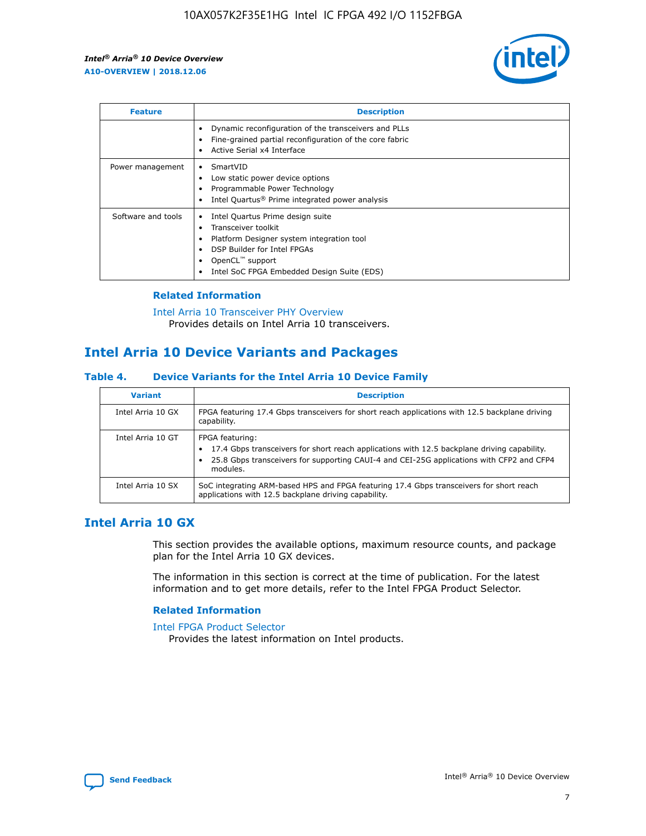

| <b>Feature</b>     | <b>Description</b>                                                                                                                                                                                               |
|--------------------|------------------------------------------------------------------------------------------------------------------------------------------------------------------------------------------------------------------|
|                    | Dynamic reconfiguration of the transceivers and PLLs<br>Fine-grained partial reconfiguration of the core fabric<br>Active Serial x4 Interface<br>$\bullet$                                                       |
| Power management   | SmartVID<br>Low static power device options<br>Programmable Power Technology<br>Intel Quartus <sup>®</sup> Prime integrated power analysis                                                                       |
| Software and tools | Intel Quartus Prime design suite<br>Transceiver toolkit<br>Platform Designer system integration tool<br>DSP Builder for Intel FPGAs<br>OpenCL <sup>™</sup> support<br>Intel SoC FPGA Embedded Design Suite (EDS) |

## **Related Information**

[Intel Arria 10 Transceiver PHY Overview](https://www.intel.com/content/www/us/en/programmable/documentation/nik1398707230472.html#nik1398706768037) Provides details on Intel Arria 10 transceivers.

## **Intel Arria 10 Device Variants and Packages**

#### **Table 4. Device Variants for the Intel Arria 10 Device Family**

| <b>Variant</b>    | <b>Description</b>                                                                                                                                                                                                     |
|-------------------|------------------------------------------------------------------------------------------------------------------------------------------------------------------------------------------------------------------------|
| Intel Arria 10 GX | FPGA featuring 17.4 Gbps transceivers for short reach applications with 12.5 backplane driving<br>capability.                                                                                                          |
| Intel Arria 10 GT | FPGA featuring:<br>17.4 Gbps transceivers for short reach applications with 12.5 backplane driving capability.<br>25.8 Gbps transceivers for supporting CAUI-4 and CEI-25G applications with CFP2 and CFP4<br>modules. |
| Intel Arria 10 SX | SoC integrating ARM-based HPS and FPGA featuring 17.4 Gbps transceivers for short reach<br>applications with 12.5 backplane driving capability.                                                                        |

## **Intel Arria 10 GX**

This section provides the available options, maximum resource counts, and package plan for the Intel Arria 10 GX devices.

The information in this section is correct at the time of publication. For the latest information and to get more details, refer to the Intel FPGA Product Selector.

#### **Related Information**

#### [Intel FPGA Product Selector](http://www.altera.com/products/selector/psg-selector.html) Provides the latest information on Intel products.

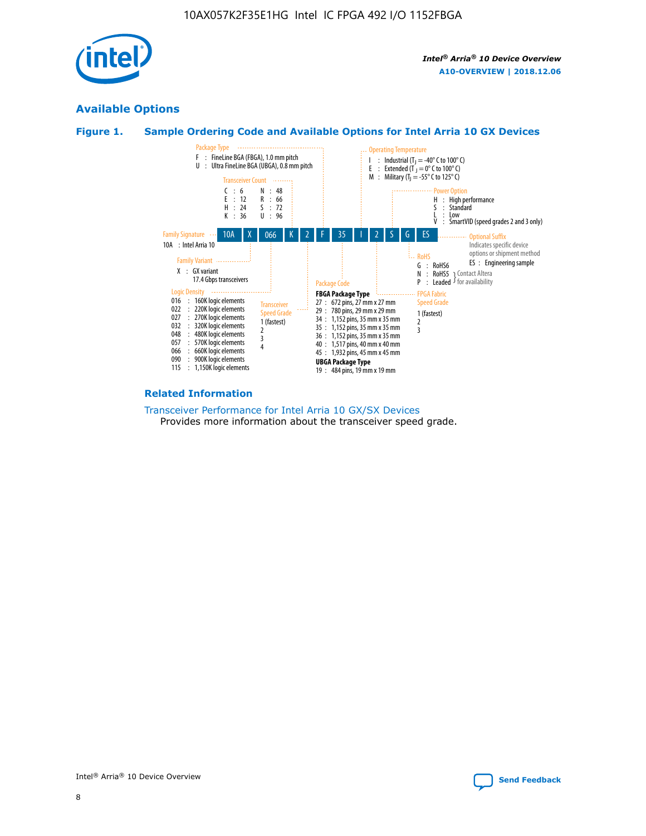

## **Available Options**





#### **Related Information**

[Transceiver Performance for Intel Arria 10 GX/SX Devices](https://www.intel.com/content/www/us/en/programmable/documentation/mcn1413182292568.html#mcn1413213965502) Provides more information about the transceiver speed grade.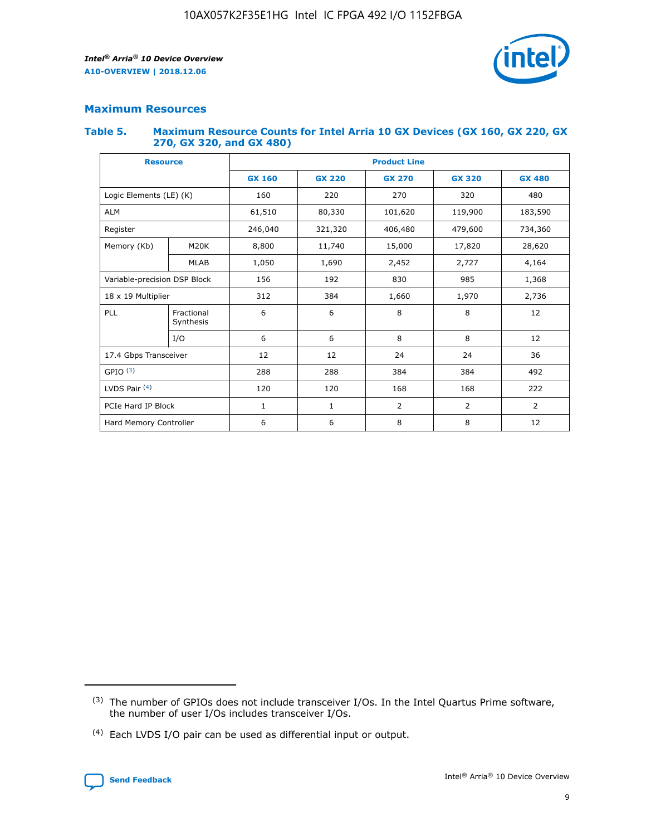

## **Maximum Resources**

#### **Table 5. Maximum Resource Counts for Intel Arria 10 GX Devices (GX 160, GX 220, GX 270, GX 320, and GX 480)**

| <b>Resource</b>         |                              | <b>Product Line</b> |                                |                |                |                |  |  |
|-------------------------|------------------------------|---------------------|--------------------------------|----------------|----------------|----------------|--|--|
|                         |                              | <b>GX 160</b>       | <b>GX 220</b><br><b>GX 270</b> |                | <b>GX 320</b>  | <b>GX 480</b>  |  |  |
| Logic Elements (LE) (K) |                              | 160                 | 220                            | 270            | 320            | 480            |  |  |
| <b>ALM</b>              |                              | 61,510              | 80,330                         | 101,620        | 119,900        | 183,590        |  |  |
| Register                |                              | 246,040             | 406,480<br>321,320             |                | 479,600        | 734,360        |  |  |
| Memory (Kb)             | M <sub>20</sub> K            | 8,800               | 11,740                         | 15,000         | 17,820         | 28,620         |  |  |
| <b>MLAB</b>             |                              | 1,050               | 1,690                          | 2,452<br>2,727 |                | 4,164          |  |  |
|                         | Variable-precision DSP Block |                     | 156<br>192<br>830<br>985       |                |                | 1,368          |  |  |
| 18 x 19 Multiplier      |                              | 312                 | 384                            | 1,970<br>1,660 |                | 2,736          |  |  |
| PLL                     | Fractional<br>Synthesis      | 6                   | 6                              | 8              | 8              | 12             |  |  |
|                         | I/O                          | 6                   | 6                              | 8              | 8              | 12             |  |  |
| 17.4 Gbps Transceiver   |                              | 12                  | 12                             | 24             | 24             | 36             |  |  |
| GPIO <sup>(3)</sup>     |                              | 288<br>288<br>384   |                                | 384            | 492            |                |  |  |
| LVDS Pair $(4)$         |                              | 120                 | 120                            | 168            | 168            | 222            |  |  |
| PCIe Hard IP Block      |                              | 1                   | 1                              | 2              | $\overline{2}$ | $\overline{2}$ |  |  |
| Hard Memory Controller  |                              | 6                   | 6                              | 8              | 8              | 12             |  |  |

<sup>(4)</sup> Each LVDS I/O pair can be used as differential input or output.



<sup>(3)</sup> The number of GPIOs does not include transceiver I/Os. In the Intel Quartus Prime software, the number of user I/Os includes transceiver I/Os.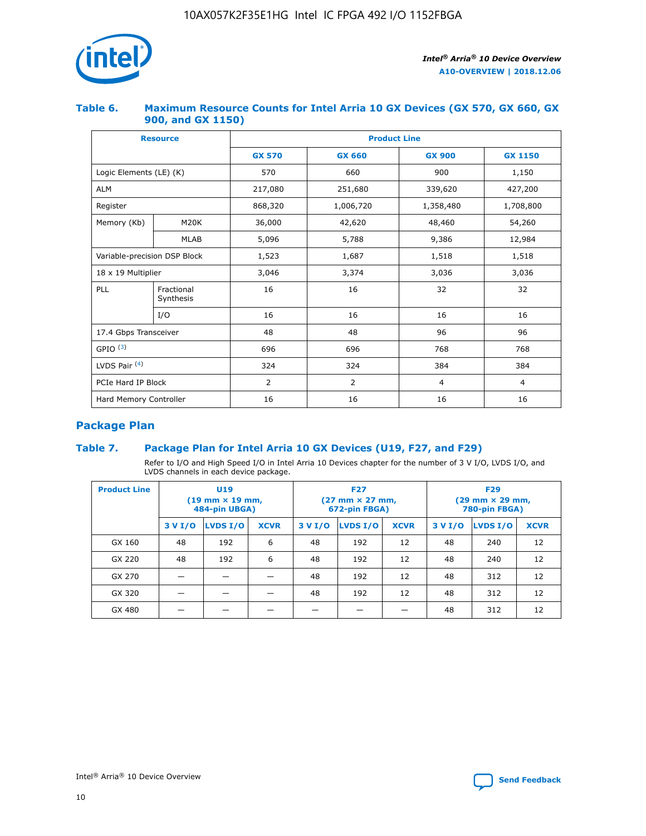

## **Table 6. Maximum Resource Counts for Intel Arria 10 GX Devices (GX 570, GX 660, GX 900, and GX 1150)**

|                              | <b>Resource</b>         | <b>Product Line</b> |                |                |                |  |  |  |
|------------------------------|-------------------------|---------------------|----------------|----------------|----------------|--|--|--|
|                              |                         | <b>GX 570</b>       | <b>GX 660</b>  | <b>GX 900</b>  | <b>GX 1150</b> |  |  |  |
| Logic Elements (LE) (K)      |                         | 570                 | 660            | 900            | 1,150          |  |  |  |
| <b>ALM</b>                   |                         | 217,080             | 251,680        | 339,620        | 427,200        |  |  |  |
| Register                     |                         | 868,320             | 1,006,720      | 1,358,480      | 1,708,800      |  |  |  |
| Memory (Kb)                  | <b>M20K</b>             | 36,000              | 42,620         | 48,460         | 54,260         |  |  |  |
| <b>MLAB</b>                  |                         | 5,096               | 5,788<br>9,386 |                | 12,984         |  |  |  |
| Variable-precision DSP Block |                         | 1,523               | 1,687          | 1,518          | 1,518          |  |  |  |
| $18 \times 19$ Multiplier    |                         | 3,046               | 3,374          | 3,036          | 3,036          |  |  |  |
| PLL                          | Fractional<br>Synthesis | 16                  | 16             | 32             | 32             |  |  |  |
| I/O                          |                         | 16                  | 16             | 16             | 16             |  |  |  |
| 17.4 Gbps Transceiver        |                         | 48                  | 48             | 96             | 96             |  |  |  |
| GPIO <sup>(3)</sup>          |                         | 696                 | 696            | 768            | 768            |  |  |  |
| LVDS Pair $(4)$              |                         | 324                 | 324            | 384            | 384            |  |  |  |
| PCIe Hard IP Block           |                         | 2                   | $\overline{2}$ | $\overline{4}$ | $\overline{4}$ |  |  |  |
| Hard Memory Controller       |                         | 16                  | 16             | 16             | 16             |  |  |  |

## **Package Plan**

## **Table 7. Package Plan for Intel Arria 10 GX Devices (U19, F27, and F29)**

Refer to I/O and High Speed I/O in Intel Arria 10 Devices chapter for the number of 3 V I/O, LVDS I/O, and LVDS channels in each device package.

| <b>Product Line</b> |         | <b>U19</b><br>$(19 \text{ mm} \times 19 \text{ mm})$<br>484-pin UBGA) |             |         | <b>F27</b><br>(27 mm × 27 mm,<br>672-pin FBGA) |             | <b>F29</b><br>(29 mm × 29 mm,<br>780-pin FBGA) |          |             |
|---------------------|---------|-----------------------------------------------------------------------|-------------|---------|------------------------------------------------|-------------|------------------------------------------------|----------|-------------|
|                     | 3 V I/O | LVDS I/O                                                              | <b>XCVR</b> | 3 V I/O | LVDS I/O                                       | <b>XCVR</b> | 3 V I/O                                        | LVDS I/O | <b>XCVR</b> |
| GX 160              | 48      | 192                                                                   | 6           | 48      | 192                                            | 12          | 48                                             | 240      | 12          |
| GX 220              | 48      | 192                                                                   | 6           | 48      | 192                                            | 12          | 48                                             | 240      | 12          |
| GX 270              |         |                                                                       |             | 48      | 192                                            | 12          | 48                                             | 312      | 12          |
| GX 320              |         |                                                                       |             | 48      | 192                                            | 12          | 48                                             | 312      | 12          |
| GX 480              |         |                                                                       |             |         |                                                |             | 48                                             | 312      | 12          |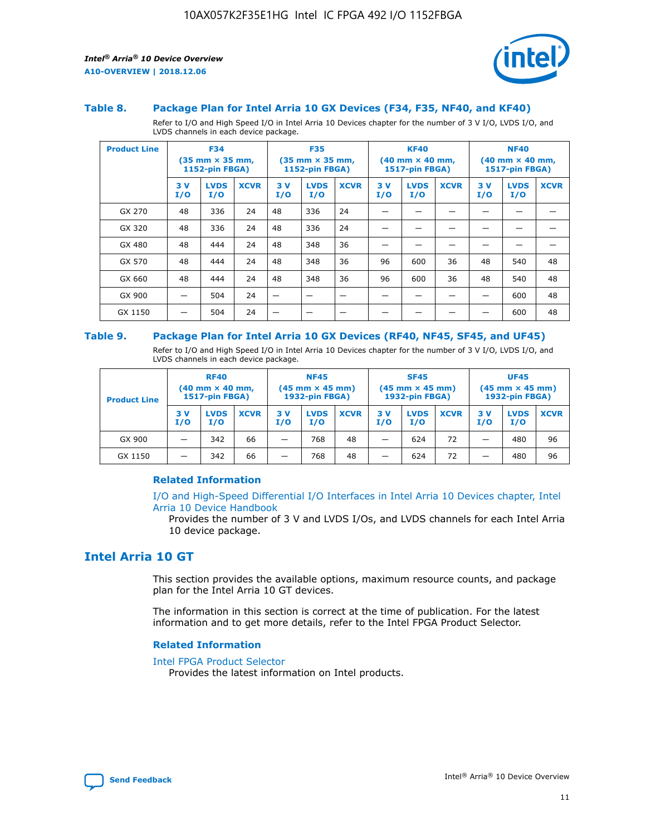

#### **Table 8. Package Plan for Intel Arria 10 GX Devices (F34, F35, NF40, and KF40)**

Refer to I/O and High Speed I/O in Intel Arria 10 Devices chapter for the number of 3 V I/O, LVDS I/O, and LVDS channels in each device package.

| <b>Product Line</b> |           | <b>F34</b><br>$(35 \text{ mm} \times 35 \text{ mm})$<br><b>1152-pin FBGA)</b> |             |           | <b>F35</b><br>$(35 \text{ mm} \times 35 \text{ mm})$<br><b>1152-pin FBGA)</b> |             | <b>KF40</b><br>$(40$ mm $\times$ 40 mm,<br><b>1517-pin FBGA)</b> |                    | <b>NF40</b><br>$(40 \text{ mm} \times 40 \text{ mm})$<br>1517-pin FBGA) |           |                    |             |
|---------------------|-----------|-------------------------------------------------------------------------------|-------------|-----------|-------------------------------------------------------------------------------|-------------|------------------------------------------------------------------|--------------------|-------------------------------------------------------------------------|-----------|--------------------|-------------|
|                     | 3V<br>I/O | <b>LVDS</b><br>I/O                                                            | <b>XCVR</b> | 3V<br>I/O | <b>LVDS</b><br>I/O                                                            | <b>XCVR</b> | 3V<br>I/O                                                        | <b>LVDS</b><br>I/O | <b>XCVR</b>                                                             | 3V<br>I/O | <b>LVDS</b><br>I/O | <b>XCVR</b> |
| GX 270              | 48        | 336                                                                           | 24          | 48        | 336                                                                           | 24          |                                                                  |                    |                                                                         |           |                    |             |
| GX 320              | 48        | 336                                                                           | 24          | 48        | 336                                                                           | 24          |                                                                  |                    |                                                                         |           |                    |             |
| GX 480              | 48        | 444                                                                           | 24          | 48        | 348                                                                           | 36          |                                                                  |                    |                                                                         |           |                    |             |
| GX 570              | 48        | 444                                                                           | 24          | 48        | 348                                                                           | 36          | 96                                                               | 600                | 36                                                                      | 48        | 540                | 48          |
| GX 660              | 48        | 444                                                                           | 24          | 48        | 348                                                                           | 36          | 96                                                               | 600                | 36                                                                      | 48        | 540                | 48          |
| GX 900              |           | 504                                                                           | 24          | –         |                                                                               | -           |                                                                  |                    |                                                                         |           | 600                | 48          |
| GX 1150             |           | 504                                                                           | 24          |           |                                                                               |             |                                                                  |                    |                                                                         |           | 600                | 48          |

#### **Table 9. Package Plan for Intel Arria 10 GX Devices (RF40, NF45, SF45, and UF45)**

Refer to I/O and High Speed I/O in Intel Arria 10 Devices chapter for the number of 3 V I/O, LVDS I/O, and LVDS channels in each device package.

| <b>Product Line</b> | <b>RF40</b><br>$(40$ mm $\times$ 40 mm,<br>1517-pin FBGA) |                    |             | <b>NF45</b><br>$(45 \text{ mm} \times 45 \text{ mm})$<br><b>1932-pin FBGA)</b> |                    |             | <b>SF45</b><br>$(45 \text{ mm} \times 45 \text{ mm})$<br><b>1932-pin FBGA)</b> |                    |             | <b>UF45</b><br>$(45 \text{ mm} \times 45 \text{ mm})$<br><b>1932-pin FBGA)</b> |                    |             |
|---------------------|-----------------------------------------------------------|--------------------|-------------|--------------------------------------------------------------------------------|--------------------|-------------|--------------------------------------------------------------------------------|--------------------|-------------|--------------------------------------------------------------------------------|--------------------|-------------|
|                     | 3V<br>I/O                                                 | <b>LVDS</b><br>I/O | <b>XCVR</b> | 3 V<br>I/O                                                                     | <b>LVDS</b><br>I/O | <b>XCVR</b> | 3 V<br>I/O                                                                     | <b>LVDS</b><br>I/O | <b>XCVR</b> | 3V<br>I/O                                                                      | <b>LVDS</b><br>I/O | <b>XCVR</b> |
| GX 900              |                                                           | 342                | 66          | _                                                                              | 768                | 48          |                                                                                | 624                | 72          |                                                                                | 480                | 96          |
| GX 1150             |                                                           | 342                | 66          | _                                                                              | 768                | 48          |                                                                                | 624                | 72          |                                                                                | 480                | 96          |

### **Related Information**

[I/O and High-Speed Differential I/O Interfaces in Intel Arria 10 Devices chapter, Intel](https://www.intel.com/content/www/us/en/programmable/documentation/sam1403482614086.html#sam1403482030321) [Arria 10 Device Handbook](https://www.intel.com/content/www/us/en/programmable/documentation/sam1403482614086.html#sam1403482030321)

Provides the number of 3 V and LVDS I/Os, and LVDS channels for each Intel Arria 10 device package.

## **Intel Arria 10 GT**

This section provides the available options, maximum resource counts, and package plan for the Intel Arria 10 GT devices.

The information in this section is correct at the time of publication. For the latest information and to get more details, refer to the Intel FPGA Product Selector.

#### **Related Information**

#### [Intel FPGA Product Selector](http://www.altera.com/products/selector/psg-selector.html)

Provides the latest information on Intel products.

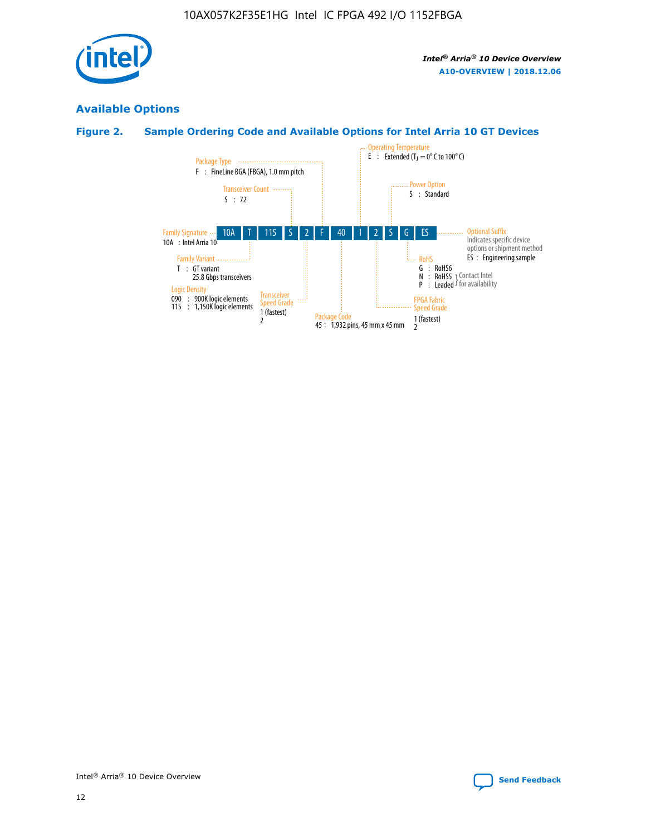

## **Available Options**

## **Figure 2. Sample Ordering Code and Available Options for Intel Arria 10 GT Devices**

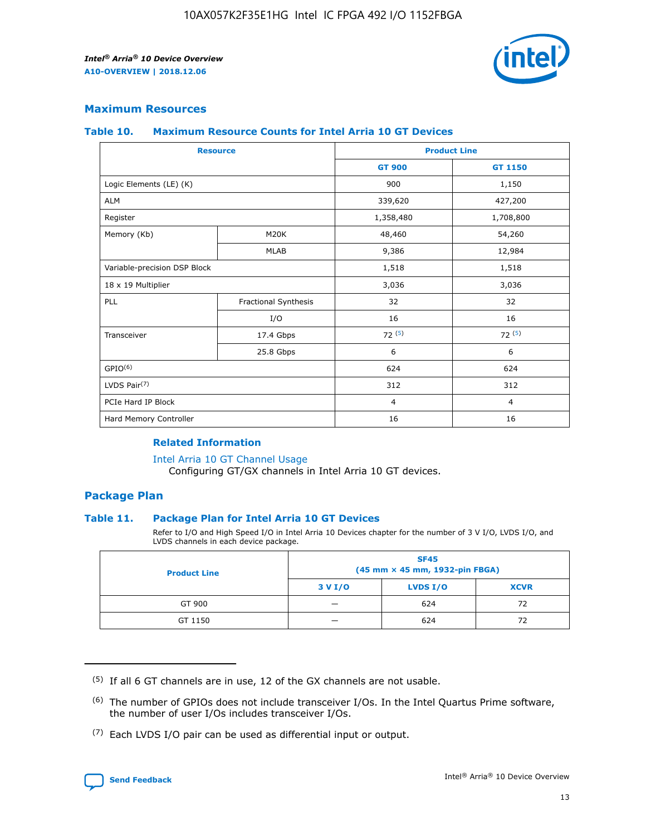

## **Maximum Resources**

#### **Table 10. Maximum Resource Counts for Intel Arria 10 GT Devices**

| <b>Resource</b>              |                      | <b>Product Line</b> |                |  |
|------------------------------|----------------------|---------------------|----------------|--|
|                              |                      | <b>GT 900</b>       | <b>GT 1150</b> |  |
| Logic Elements (LE) (K)      |                      | 900                 | 1,150          |  |
| <b>ALM</b>                   |                      | 339,620             | 427,200        |  |
| Register                     |                      | 1,358,480           | 1,708,800      |  |
| Memory (Kb)                  | M <sub>20</sub> K    | 48,460              | 54,260         |  |
|                              | <b>MLAB</b>          | 9,386               | 12,984         |  |
| Variable-precision DSP Block |                      | 1,518               | 1,518          |  |
| 18 x 19 Multiplier           |                      | 3,036               | 3,036          |  |
| <b>PLL</b>                   | Fractional Synthesis | 32                  | 32             |  |
|                              | I/O                  | 16                  | 16             |  |
| Transceiver                  | 17.4 Gbps            | 72(5)               | 72(5)          |  |
|                              | 25.8 Gbps            | 6                   | 6              |  |
| GPIO <sup>(6)</sup>          |                      | 624                 | 624            |  |
| LVDS Pair $(7)$              |                      | 312                 | 312            |  |
| PCIe Hard IP Block           |                      | $\overline{4}$      | $\overline{4}$ |  |
| Hard Memory Controller       |                      | 16                  | 16             |  |

### **Related Information**

#### [Intel Arria 10 GT Channel Usage](https://www.intel.com/content/www/us/en/programmable/documentation/nik1398707230472.html#nik1398707008178)

Configuring GT/GX channels in Intel Arria 10 GT devices.

## **Package Plan**

#### **Table 11. Package Plan for Intel Arria 10 GT Devices**

Refer to I/O and High Speed I/O in Intel Arria 10 Devices chapter for the number of 3 V I/O, LVDS I/O, and LVDS channels in each device package.

| <b>Product Line</b> | <b>SF45</b><br>(45 mm × 45 mm, 1932-pin FBGA) |                 |             |  |  |  |
|---------------------|-----------------------------------------------|-----------------|-------------|--|--|--|
|                     | 3 V I/O                                       | <b>LVDS I/O</b> | <b>XCVR</b> |  |  |  |
| GT 900              |                                               | 624             | 72          |  |  |  |
| GT 1150             |                                               | 624             | 72          |  |  |  |

<sup>(7)</sup> Each LVDS I/O pair can be used as differential input or output.



 $(5)$  If all 6 GT channels are in use, 12 of the GX channels are not usable.

<sup>(6)</sup> The number of GPIOs does not include transceiver I/Os. In the Intel Quartus Prime software, the number of user I/Os includes transceiver I/Os.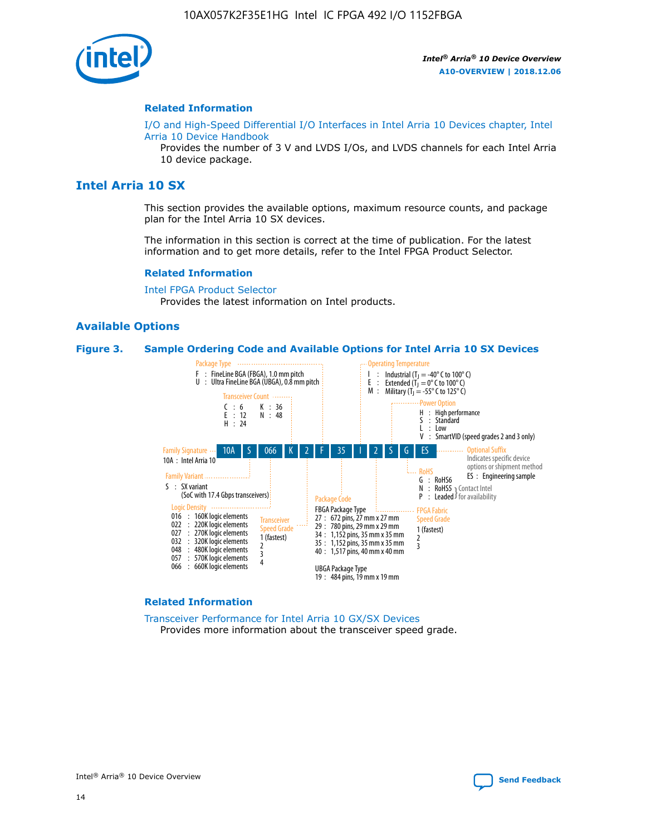

#### **Related Information**

[I/O and High-Speed Differential I/O Interfaces in Intel Arria 10 Devices chapter, Intel](https://www.intel.com/content/www/us/en/programmable/documentation/sam1403482614086.html#sam1403482030321) [Arria 10 Device Handbook](https://www.intel.com/content/www/us/en/programmable/documentation/sam1403482614086.html#sam1403482030321)

Provides the number of 3 V and LVDS I/Os, and LVDS channels for each Intel Arria 10 device package.

## **Intel Arria 10 SX**

This section provides the available options, maximum resource counts, and package plan for the Intel Arria 10 SX devices.

The information in this section is correct at the time of publication. For the latest information and to get more details, refer to the Intel FPGA Product Selector.

#### **Related Information**

[Intel FPGA Product Selector](http://www.altera.com/products/selector/psg-selector.html) Provides the latest information on Intel products.

#### **Available Options**

#### **Figure 3. Sample Ordering Code and Available Options for Intel Arria 10 SX Devices**



#### **Related Information**

[Transceiver Performance for Intel Arria 10 GX/SX Devices](https://www.intel.com/content/www/us/en/programmable/documentation/mcn1413182292568.html#mcn1413213965502) Provides more information about the transceiver speed grade.

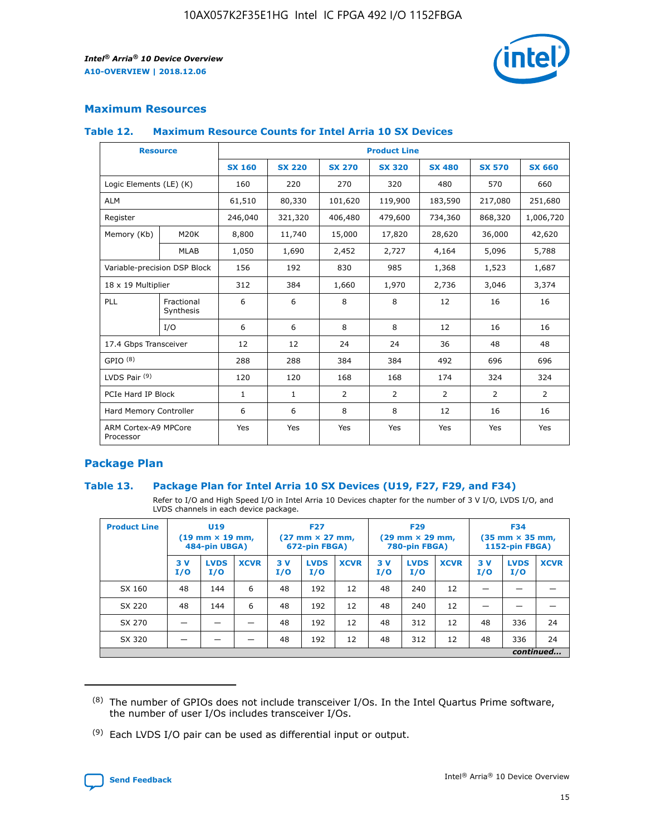

## **Maximum Resources**

#### **Table 12. Maximum Resource Counts for Intel Arria 10 SX Devices**

| <b>Resource</b>                   |                         | <b>Product Line</b> |               |               |                |               |               |               |  |  |  |
|-----------------------------------|-------------------------|---------------------|---------------|---------------|----------------|---------------|---------------|---------------|--|--|--|
|                                   |                         | <b>SX 160</b>       | <b>SX 220</b> | <b>SX 270</b> | <b>SX 320</b>  | <b>SX 480</b> | <b>SX 570</b> | <b>SX 660</b> |  |  |  |
| Logic Elements (LE) (K)           |                         | 160                 | 220           | 270           | 320            | 480           | 570           | 660           |  |  |  |
| <b>ALM</b>                        |                         | 61,510              | 80,330        | 101,620       | 119,900        | 183,590       | 217,080       | 251,680       |  |  |  |
| Register                          |                         | 246,040             | 321,320       | 406,480       | 479,600        | 734,360       | 868,320       | 1,006,720     |  |  |  |
| Memory (Kb)                       | M20K                    | 8,800               | 11,740        | 15,000        | 17,820         | 28,620        | 36,000        | 42,620        |  |  |  |
|                                   | <b>MLAB</b>             | 1,050               | 1,690         | 2,452         | 2,727          | 4,164         | 5,096         | 5,788         |  |  |  |
| Variable-precision DSP Block      |                         | 156                 | 192           | 830           | 985            | 1,368         | 1,523         | 1,687         |  |  |  |
| 18 x 19 Multiplier                |                         | 312                 | 384           | 1,660         | 1,970          | 2,736         | 3,046         | 3,374         |  |  |  |
| PLL                               | Fractional<br>Synthesis | 6                   | 6             | 8             | 8              | 12            | 16            | 16            |  |  |  |
|                                   | I/O                     | 6                   | 6             | 8             | 8              | 12            | 16            | 16            |  |  |  |
| 17.4 Gbps Transceiver             |                         | 12                  | 12            | 24            | 24             | 36            | 48            | 48            |  |  |  |
| GPIO <sup>(8)</sup>               |                         | 288                 | 288           | 384           | 384            | 492           | 696           | 696           |  |  |  |
| LVDS Pair $(9)$                   |                         | 120                 | 120           | 168           | 168            | 174           | 324           | 324           |  |  |  |
| PCIe Hard IP Block                |                         | $\mathbf{1}$        | $\mathbf{1}$  | 2             | $\overline{2}$ | 2             | 2             | 2             |  |  |  |
| Hard Memory Controller            |                         | 6                   | 6             | 8             | 8              | 12            | 16            | 16            |  |  |  |
| ARM Cortex-A9 MPCore<br>Processor |                         | Yes                 | Yes           | Yes           | Yes            | Yes           | Yes           | Yes           |  |  |  |

## **Package Plan**

#### **Table 13. Package Plan for Intel Arria 10 SX Devices (U19, F27, F29, and F34)**

Refer to I/O and High Speed I/O in Intel Arria 10 Devices chapter for the number of 3 V I/O, LVDS I/O, and LVDS channels in each device package.

| <b>Product Line</b> | U19<br>$(19 \text{ mm} \times 19 \text{ mm})$ .<br>484-pin UBGA) |                    |             | <b>F27</b><br>$(27 \text{ mm} \times 27 \text{ mm})$<br>672-pin FBGA) |                    | <b>F29</b><br>$(29 \text{ mm} \times 29 \text{ mm})$<br>780-pin FBGA) |           |                    | <b>F34</b><br>$(35 \text{ mm} \times 35 \text{ mm})$<br><b>1152-pin FBGA)</b> |           |                    |             |
|---------------------|------------------------------------------------------------------|--------------------|-------------|-----------------------------------------------------------------------|--------------------|-----------------------------------------------------------------------|-----------|--------------------|-------------------------------------------------------------------------------|-----------|--------------------|-------------|
|                     | 3V<br>I/O                                                        | <b>LVDS</b><br>I/O | <b>XCVR</b> | 3V<br>I/O                                                             | <b>LVDS</b><br>I/O | <b>XCVR</b>                                                           | 3V<br>I/O | <b>LVDS</b><br>I/O | <b>XCVR</b>                                                                   | 3V<br>I/O | <b>LVDS</b><br>I/O | <b>XCVR</b> |
| SX 160              | 48                                                               | 144                | 6           | 48                                                                    | 192                | 12                                                                    | 48        | 240                | 12                                                                            |           |                    |             |
| SX 220              | 48                                                               | 144                | 6           | 48                                                                    | 192                | 12                                                                    | 48        | 240                | 12                                                                            |           |                    |             |
| SX 270              |                                                                  |                    |             | 48                                                                    | 192                | 12                                                                    | 48        | 312                | 12                                                                            | 48        | 336                | 24          |
| SX 320              |                                                                  |                    |             | 48                                                                    | 192                | 12                                                                    | 48        | 312                | 12                                                                            | 48        | 336                | 24          |
|                     |                                                                  |                    |             |                                                                       |                    |                                                                       |           |                    |                                                                               |           |                    | continued   |

 $(8)$  The number of GPIOs does not include transceiver I/Os. In the Intel Quartus Prime software, the number of user I/Os includes transceiver I/Os.

 $(9)$  Each LVDS I/O pair can be used as differential input or output.

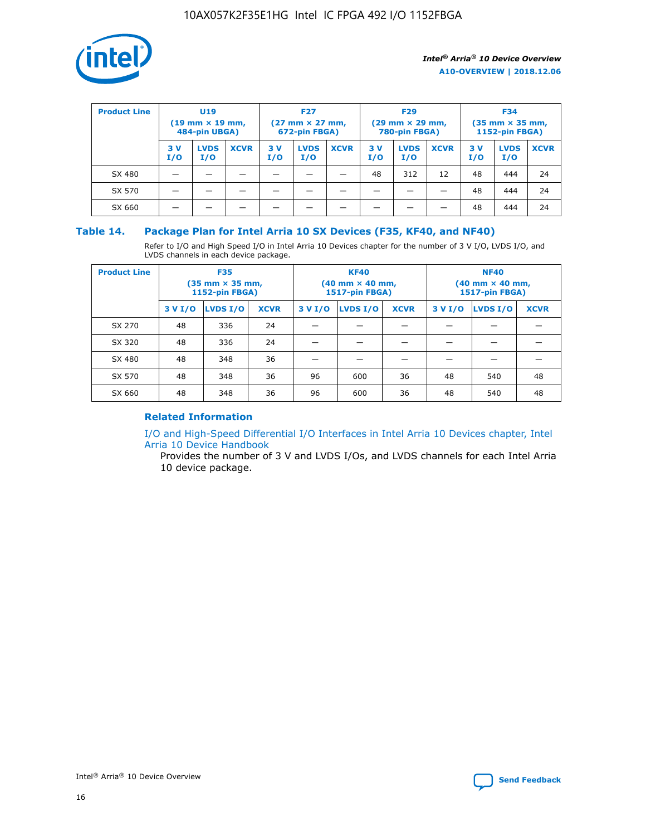

| <b>Product Line</b> | U <sub>19</sub><br>$(19 \text{ mm} \times 19 \text{ mm})$<br>484-pin UBGA) |                    | <b>F27</b><br>$(27 \text{ mm} \times 27 \text{ mm})$<br>672-pin FBGA) |           | <b>F29</b><br>$(29 \text{ mm} \times 29 \text{ mm})$<br>780-pin FBGA) |             |           | <b>F34</b><br>$(35 \text{ mm} \times 35 \text{ mm})$<br><b>1152-pin FBGA)</b> |             |           |                    |             |
|---------------------|----------------------------------------------------------------------------|--------------------|-----------------------------------------------------------------------|-----------|-----------------------------------------------------------------------|-------------|-----------|-------------------------------------------------------------------------------|-------------|-----------|--------------------|-------------|
|                     | 3 V<br>I/O                                                                 | <b>LVDS</b><br>I/O | <b>XCVR</b>                                                           | 3V<br>I/O | <b>LVDS</b><br>I/O                                                    | <b>XCVR</b> | 3V<br>I/O | <b>LVDS</b><br>I/O                                                            | <b>XCVR</b> | 3V<br>I/O | <b>LVDS</b><br>I/O | <b>XCVR</b> |
| SX 480              |                                                                            |                    |                                                                       |           |                                                                       |             | 48        | 312                                                                           | 12          | 48        | 444                | 24          |
| SX 570              |                                                                            |                    |                                                                       |           |                                                                       |             |           |                                                                               |             | 48        | 444                | 24          |
| SX 660              |                                                                            |                    |                                                                       |           |                                                                       |             |           |                                                                               |             | 48        | 444                | 24          |

## **Table 14. Package Plan for Intel Arria 10 SX Devices (F35, KF40, and NF40)**

Refer to I/O and High Speed I/O in Intel Arria 10 Devices chapter for the number of 3 V I/O, LVDS I/O, and LVDS channels in each device package.

| <b>Product Line</b> | <b>F35</b><br>(35 mm × 35 mm,<br>1152-pin FBGA) |          |             |                                           | <b>KF40</b><br>(40 mm × 40 mm,<br>1517-pin FBGA) |    | <b>NF40</b><br>(40 mm × 40 mm,<br>1517-pin FBGA) |          |             |  |
|---------------------|-------------------------------------------------|----------|-------------|-------------------------------------------|--------------------------------------------------|----|--------------------------------------------------|----------|-------------|--|
|                     | 3 V I/O                                         | LVDS I/O | <b>XCVR</b> | <b>LVDS I/O</b><br>3 V I/O<br><b>XCVR</b> |                                                  |    | 3 V I/O                                          | LVDS I/O | <b>XCVR</b> |  |
| SX 270              | 48                                              | 336      | 24          |                                           |                                                  |    |                                                  |          |             |  |
| SX 320              | 48                                              | 336      | 24          |                                           |                                                  |    |                                                  |          |             |  |
| SX 480              | 48                                              | 348      | 36          |                                           |                                                  |    |                                                  |          |             |  |
| SX 570              | 48                                              | 348      | 36          | 96                                        | 600                                              | 36 | 48                                               | 540      | 48          |  |
| SX 660              | 48                                              | 348      | 36          | 96                                        | 600                                              | 36 | 48                                               | 540      | 48          |  |

## **Related Information**

[I/O and High-Speed Differential I/O Interfaces in Intel Arria 10 Devices chapter, Intel](https://www.intel.com/content/www/us/en/programmable/documentation/sam1403482614086.html#sam1403482030321) [Arria 10 Device Handbook](https://www.intel.com/content/www/us/en/programmable/documentation/sam1403482614086.html#sam1403482030321)

Provides the number of 3 V and LVDS I/Os, and LVDS channels for each Intel Arria 10 device package.

Intel<sup>®</sup> Arria<sup>®</sup> 10 Device Overview **[Send Feedback](mailto:FPGAtechdocfeedback@intel.com?subject=Feedback%20on%20Intel%20Arria%2010%20Device%20Overview%20(A10-OVERVIEW%202018.12.06)&body=We%20appreciate%20your%20feedback.%20In%20your%20comments,%20also%20specify%20the%20page%20number%20or%20paragraph.%20Thank%20you.)** Send Feedback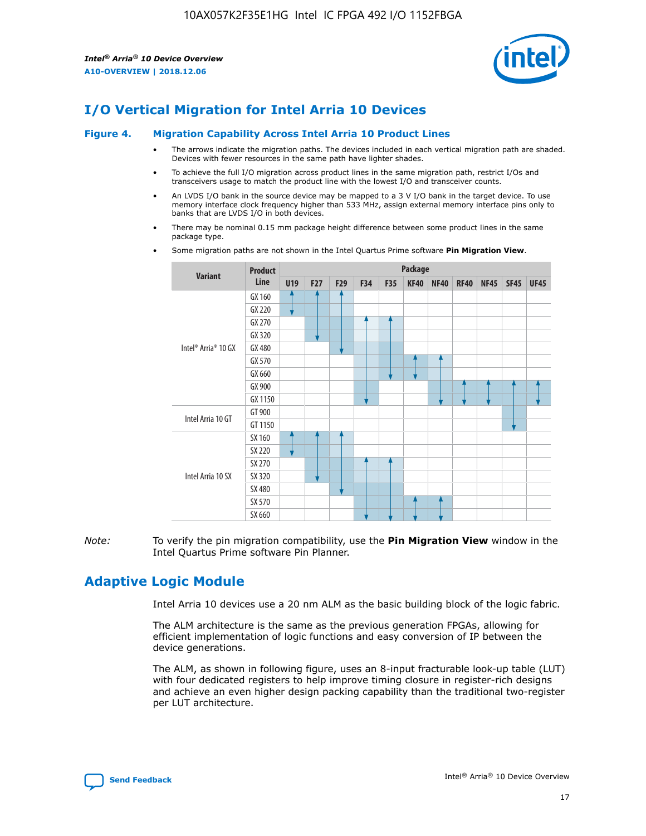

# **I/O Vertical Migration for Intel Arria 10 Devices**

#### **Figure 4. Migration Capability Across Intel Arria 10 Product Lines**

- The arrows indicate the migration paths. The devices included in each vertical migration path are shaded. Devices with fewer resources in the same path have lighter shades.
- To achieve the full I/O migration across product lines in the same migration path, restrict I/Os and transceivers usage to match the product line with the lowest I/O and transceiver counts.
- An LVDS I/O bank in the source device may be mapped to a 3 V I/O bank in the target device. To use memory interface clock frequency higher than 533 MHz, assign external memory interface pins only to banks that are LVDS I/O in both devices.
- There may be nominal 0.15 mm package height difference between some product lines in the same package type.
	- **Variant Product Line Package U19 F27 F29 F34 F35 KF40 NF40 RF40 NF45 SF45 UF45** Intel® Arria® 10 GX GX 160 GX 220 GX 270 GX 320 GX 480 GX 570 GX 660 GX 900 GX 1150 Intel Arria 10 GT GT 900 GT 1150 Intel Arria 10 SX SX 160 SX 220 SX 270 SX 320 SX 480 SX 570 SX 660
- Some migration paths are not shown in the Intel Quartus Prime software **Pin Migration View**.

*Note:* To verify the pin migration compatibility, use the **Pin Migration View** window in the Intel Quartus Prime software Pin Planner.

# **Adaptive Logic Module**

Intel Arria 10 devices use a 20 nm ALM as the basic building block of the logic fabric.

The ALM architecture is the same as the previous generation FPGAs, allowing for efficient implementation of logic functions and easy conversion of IP between the device generations.

The ALM, as shown in following figure, uses an 8-input fracturable look-up table (LUT) with four dedicated registers to help improve timing closure in register-rich designs and achieve an even higher design packing capability than the traditional two-register per LUT architecture.

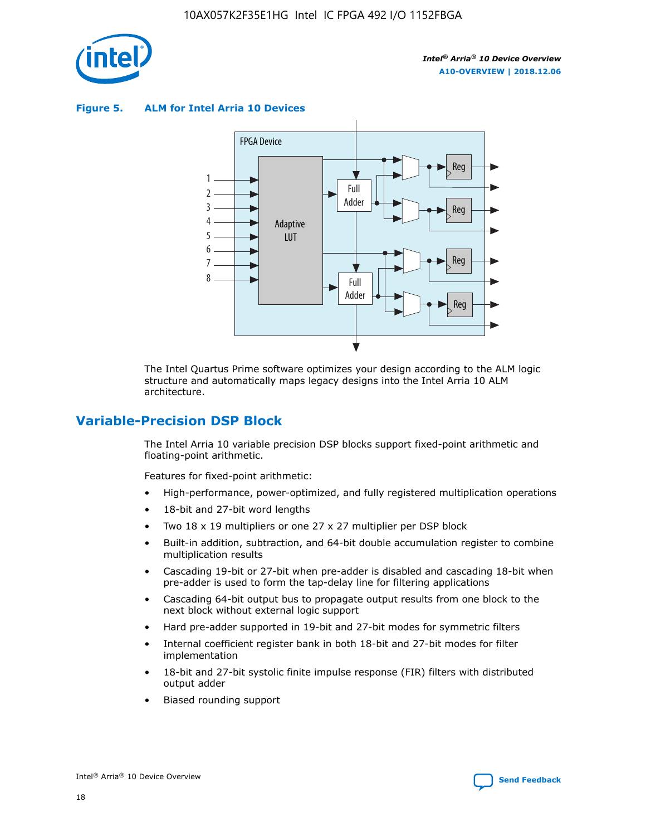

**Figure 5. ALM for Intel Arria 10 Devices**



The Intel Quartus Prime software optimizes your design according to the ALM logic structure and automatically maps legacy designs into the Intel Arria 10 ALM architecture.

## **Variable-Precision DSP Block**

The Intel Arria 10 variable precision DSP blocks support fixed-point arithmetic and floating-point arithmetic.

Features for fixed-point arithmetic:

- High-performance, power-optimized, and fully registered multiplication operations
- 18-bit and 27-bit word lengths
- Two 18 x 19 multipliers or one 27 x 27 multiplier per DSP block
- Built-in addition, subtraction, and 64-bit double accumulation register to combine multiplication results
- Cascading 19-bit or 27-bit when pre-adder is disabled and cascading 18-bit when pre-adder is used to form the tap-delay line for filtering applications
- Cascading 64-bit output bus to propagate output results from one block to the next block without external logic support
- Hard pre-adder supported in 19-bit and 27-bit modes for symmetric filters
- Internal coefficient register bank in both 18-bit and 27-bit modes for filter implementation
- 18-bit and 27-bit systolic finite impulse response (FIR) filters with distributed output adder
- Biased rounding support

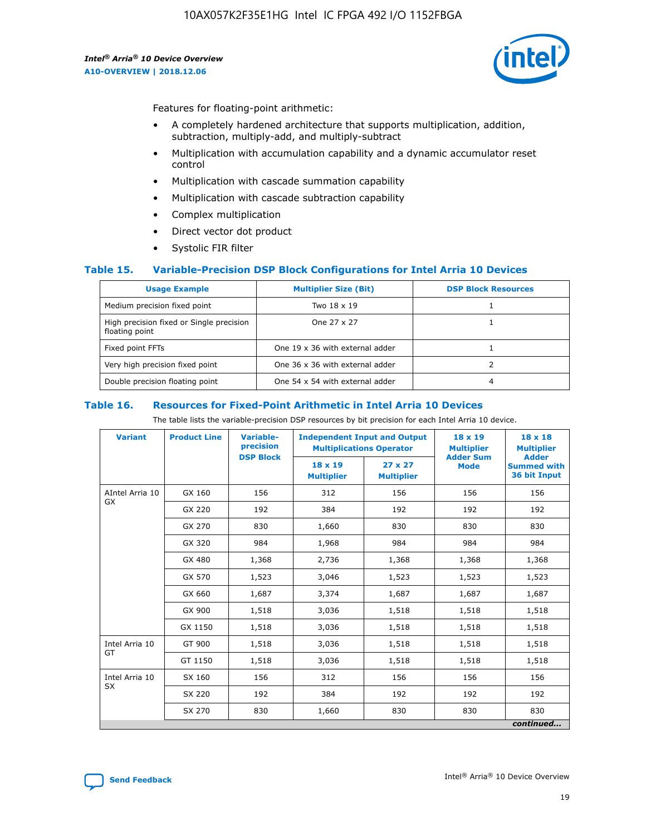

Features for floating-point arithmetic:

- A completely hardened architecture that supports multiplication, addition, subtraction, multiply-add, and multiply-subtract
- Multiplication with accumulation capability and a dynamic accumulator reset control
- Multiplication with cascade summation capability
- Multiplication with cascade subtraction capability
- Complex multiplication
- Direct vector dot product
- Systolic FIR filter

#### **Table 15. Variable-Precision DSP Block Configurations for Intel Arria 10 Devices**

| <b>Usage Example</b>                                       | <b>Multiplier Size (Bit)</b>    | <b>DSP Block Resources</b> |
|------------------------------------------------------------|---------------------------------|----------------------------|
| Medium precision fixed point                               | Two 18 x 19                     |                            |
| High precision fixed or Single precision<br>floating point | One 27 x 27                     |                            |
| Fixed point FFTs                                           | One 19 x 36 with external adder |                            |
| Very high precision fixed point                            | One 36 x 36 with external adder |                            |
| Double precision floating point                            | One 54 x 54 with external adder | 4                          |

#### **Table 16. Resources for Fixed-Point Arithmetic in Intel Arria 10 Devices**

The table lists the variable-precision DSP resources by bit precision for each Intel Arria 10 device.

| <b>Variant</b>  | <b>Product Line</b> | <b>Variable-</b><br>precision<br><b>DSP Block</b> | <b>Independent Input and Output</b><br><b>Multiplications Operator</b> |                                     | 18 x 19<br><b>Multiplier</b><br><b>Adder Sum</b> | $18 \times 18$<br><b>Multiplier</b><br><b>Adder</b> |
|-----------------|---------------------|---------------------------------------------------|------------------------------------------------------------------------|-------------------------------------|--------------------------------------------------|-----------------------------------------------------|
|                 |                     |                                                   | 18 x 19<br><b>Multiplier</b>                                           | $27 \times 27$<br><b>Multiplier</b> | <b>Mode</b>                                      | <b>Summed with</b><br>36 bit Input                  |
| AIntel Arria 10 | GX 160              | 156                                               | 312                                                                    | 156                                 | 156                                              | 156                                                 |
| GX              | GX 220              | 192                                               | 384                                                                    | 192                                 | 192                                              | 192                                                 |
|                 | GX 270              | 830                                               | 1,660                                                                  | 830                                 | 830                                              | 830                                                 |
|                 | GX 320              | 984                                               | 1,968                                                                  | 984                                 | 984                                              | 984                                                 |
|                 | GX 480              | 1,368                                             | 2,736                                                                  | 1,368                               | 1,368                                            | 1,368                                               |
|                 | GX 570              | 1,523                                             | 3,046                                                                  | 1,523                               | 1,523                                            | 1,523                                               |
|                 | GX 660              | 1,687                                             | 3,374                                                                  | 1,687                               | 1,687                                            | 1,687                                               |
|                 | GX 900              | 1,518                                             | 3,036                                                                  | 1,518                               | 1,518                                            | 1,518                                               |
|                 | GX 1150             | 1,518                                             | 3,036                                                                  | 1,518                               | 1,518                                            | 1,518                                               |
| Intel Arria 10  | GT 900              | 1,518                                             | 3,036                                                                  | 1,518                               | 1,518                                            | 1,518                                               |
| GT              | GT 1150             | 1,518                                             | 3,036                                                                  | 1,518                               | 1,518                                            | 1,518                                               |
| Intel Arria 10  | SX 160              | 156                                               | 312                                                                    | 156                                 | 156                                              | 156                                                 |
| <b>SX</b>       | SX 220              | 192                                               | 384                                                                    | 192                                 | 192                                              | 192                                                 |
|                 | SX 270              | 830                                               | 1,660                                                                  | 830                                 | 830                                              | 830                                                 |
|                 |                     |                                                   |                                                                        |                                     |                                                  | continued                                           |

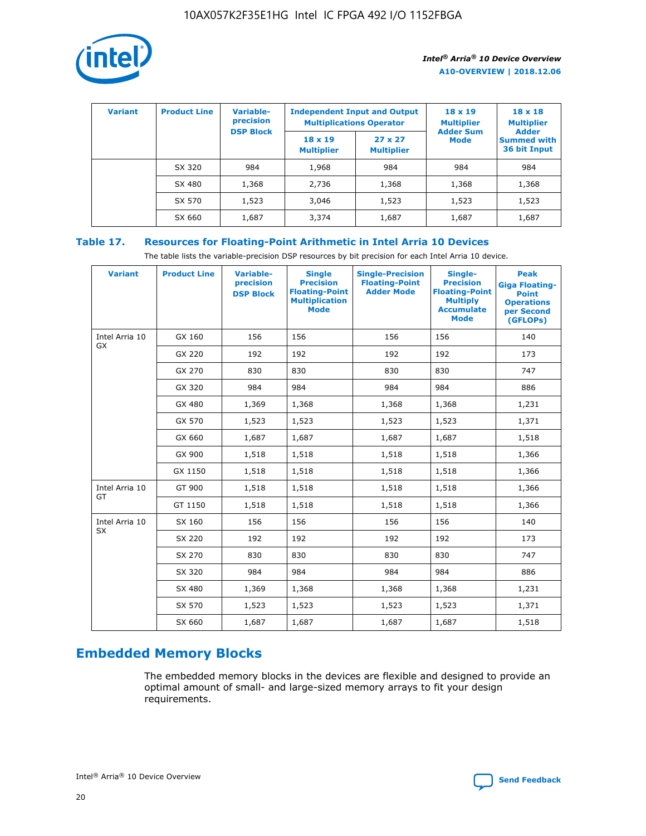

| <b>Variant</b> | <b>Product Line</b> | <b>Variable-</b><br>precision<br><b>DSP Block</b> | <b>Independent Input and Output</b><br><b>Multiplications Operator</b> |                                     | $18 \times 19$<br><b>Multiplier</b><br><b>Adder Sum</b> | $18 \times 18$<br><b>Multiplier</b><br><b>Adder</b> |  |
|----------------|---------------------|---------------------------------------------------|------------------------------------------------------------------------|-------------------------------------|---------------------------------------------------------|-----------------------------------------------------|--|
|                |                     |                                                   | $18 \times 19$<br><b>Multiplier</b>                                    | $27 \times 27$<br><b>Multiplier</b> | <b>Mode</b>                                             | <b>Summed with</b><br>36 bit Input                  |  |
|                | SX 320              | 984                                               | 1,968                                                                  | 984                                 | 984                                                     | 984                                                 |  |
|                | SX 480              | 1,368                                             | 2,736                                                                  | 1,368                               | 1,368                                                   | 1,368                                               |  |
|                | SX 570              | 1,523                                             | 3,046                                                                  | 1,523                               | 1,523                                                   | 1,523                                               |  |
|                | SX 660              | 1,687                                             | 3,374                                                                  | 1,687                               | 1,687                                                   | 1,687                                               |  |

## **Table 17. Resources for Floating-Point Arithmetic in Intel Arria 10 Devices**

The table lists the variable-precision DSP resources by bit precision for each Intel Arria 10 device.

| <b>Variant</b> | <b>Product Line</b> | <b>Variable-</b><br>precision<br><b>DSP Block</b> | <b>Single</b><br><b>Precision</b><br><b>Floating-Point</b><br><b>Multiplication</b><br><b>Mode</b> | <b>Single-Precision</b><br><b>Floating-Point</b><br><b>Adder Mode</b> | Single-<br><b>Precision</b><br><b>Floating-Point</b><br><b>Multiply</b><br><b>Accumulate</b><br><b>Mode</b> | <b>Peak</b><br><b>Giga Floating-</b><br><b>Point</b><br><b>Operations</b><br>per Second<br>(GFLOPs) |
|----------------|---------------------|---------------------------------------------------|----------------------------------------------------------------------------------------------------|-----------------------------------------------------------------------|-------------------------------------------------------------------------------------------------------------|-----------------------------------------------------------------------------------------------------|
| Intel Arria 10 | GX 160              | 156                                               | 156                                                                                                | 156                                                                   | 156                                                                                                         | 140                                                                                                 |
| <b>GX</b>      | GX 220              | 192                                               | 192                                                                                                | 192                                                                   | 192                                                                                                         | 173                                                                                                 |
|                | GX 270              | 830                                               | 830                                                                                                | 830                                                                   | 830                                                                                                         | 747                                                                                                 |
|                | GX 320              | 984                                               | 984                                                                                                | 984                                                                   | 984                                                                                                         | 886                                                                                                 |
|                | GX 480              | 1,369                                             | 1,368                                                                                              | 1,368                                                                 | 1,368                                                                                                       | 1,231                                                                                               |
|                | GX 570              | 1,523                                             | 1,523                                                                                              | 1,523                                                                 | 1,523                                                                                                       | 1,371                                                                                               |
|                | GX 660              | 1,687                                             | 1,687                                                                                              | 1,687                                                                 | 1,687                                                                                                       | 1,518                                                                                               |
|                | GX 900              | 1,518                                             | 1,518                                                                                              | 1,518                                                                 | 1,518                                                                                                       | 1,366                                                                                               |
|                | GX 1150             | 1,518                                             | 1,518                                                                                              | 1,518                                                                 | 1,518                                                                                                       | 1,366                                                                                               |
| Intel Arria 10 | GT 900              | 1,518                                             | 1,518                                                                                              | 1,518                                                                 | 1,518                                                                                                       | 1,366                                                                                               |
| GT             | GT 1150             | 1,518                                             | 1,518                                                                                              | 1,518                                                                 | 1,518                                                                                                       | 1,366                                                                                               |
| Intel Arria 10 | SX 160              | 156                                               | 156                                                                                                | 156                                                                   | 156                                                                                                         | 140                                                                                                 |
| SX             | SX 220              | 192                                               | 192                                                                                                | 192                                                                   | 192                                                                                                         | 173                                                                                                 |
|                | SX 270              | 830                                               | 830                                                                                                | 830                                                                   | 830                                                                                                         | 747                                                                                                 |
|                | SX 320              | 984                                               | 984                                                                                                | 984                                                                   | 984                                                                                                         | 886                                                                                                 |
|                | SX 480              | 1,369                                             | 1,368                                                                                              | 1,368                                                                 | 1,368                                                                                                       | 1,231                                                                                               |
|                | SX 570              | 1,523                                             | 1,523                                                                                              | 1,523                                                                 | 1,523                                                                                                       | 1,371                                                                                               |
|                | SX 660              | 1,687                                             | 1,687                                                                                              | 1,687                                                                 | 1,687                                                                                                       | 1,518                                                                                               |

# **Embedded Memory Blocks**

The embedded memory blocks in the devices are flexible and designed to provide an optimal amount of small- and large-sized memory arrays to fit your design requirements.

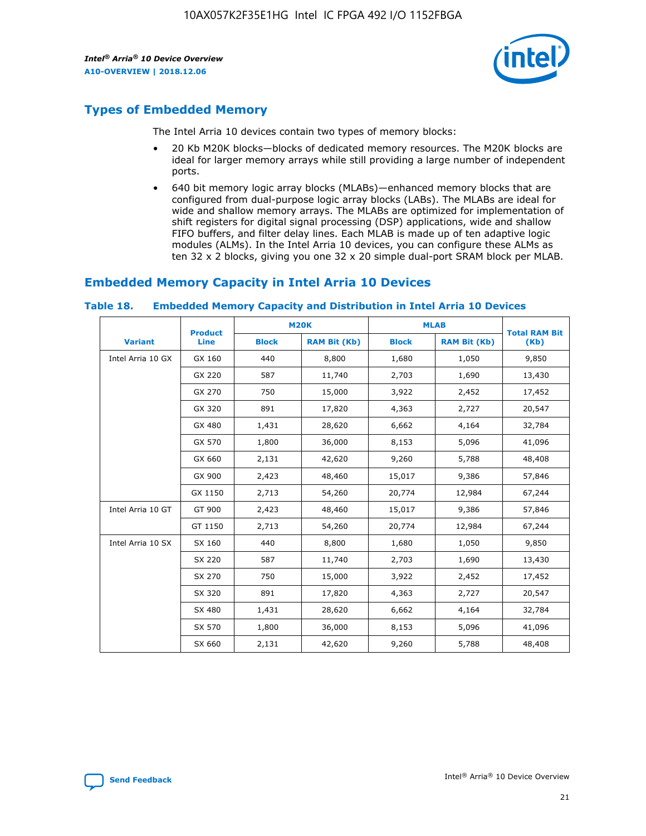

# **Types of Embedded Memory**

The Intel Arria 10 devices contain two types of memory blocks:

- 20 Kb M20K blocks—blocks of dedicated memory resources. The M20K blocks are ideal for larger memory arrays while still providing a large number of independent ports.
- 640 bit memory logic array blocks (MLABs)—enhanced memory blocks that are configured from dual-purpose logic array blocks (LABs). The MLABs are ideal for wide and shallow memory arrays. The MLABs are optimized for implementation of shift registers for digital signal processing (DSP) applications, wide and shallow FIFO buffers, and filter delay lines. Each MLAB is made up of ten adaptive logic modules (ALMs). In the Intel Arria 10 devices, you can configure these ALMs as ten 32 x 2 blocks, giving you one 32 x 20 simple dual-port SRAM block per MLAB.

# **Embedded Memory Capacity in Intel Arria 10 Devices**

|                   | <b>Product</b> |              | <b>M20K</b>         | <b>MLAB</b>  |                     | <b>Total RAM Bit</b> |
|-------------------|----------------|--------------|---------------------|--------------|---------------------|----------------------|
| <b>Variant</b>    | <b>Line</b>    | <b>Block</b> | <b>RAM Bit (Kb)</b> | <b>Block</b> | <b>RAM Bit (Kb)</b> | (Kb)                 |
| Intel Arria 10 GX | GX 160         | 440          | 8,800               | 1,680        | 1,050               | 9,850                |
|                   | GX 220         | 587          | 11,740              | 2,703        | 1,690               | 13,430               |
|                   | GX 270         | 750          | 15,000              | 3,922        | 2,452               | 17,452               |
|                   | GX 320         | 891          | 17,820              | 4,363        | 2,727               | 20,547               |
|                   | GX 480         | 1,431        | 28,620              | 6,662        | 4,164               | 32,784               |
|                   | GX 570         | 1,800        | 36,000              | 8,153        | 5,096               | 41,096               |
|                   | GX 660         | 2,131        | 42,620              | 9,260        | 5,788               | 48,408               |
|                   | GX 900         | 2,423        | 48,460              | 15,017       | 9,386               | 57,846               |
|                   | GX 1150        | 2,713        | 54,260              | 20,774       | 12,984              | 67,244               |
| Intel Arria 10 GT | GT 900         | 2,423        | 48,460              | 15,017       | 9,386               | 57,846               |
|                   | GT 1150        | 2,713        | 54,260              | 20,774       | 12,984              | 67,244               |
| Intel Arria 10 SX | SX 160         | 440          | 8,800               | 1,680        | 1,050               | 9,850                |
|                   | SX 220         | 587          | 11,740              | 2,703        | 1,690               | 13,430               |
|                   | SX 270         | 750          | 15,000              | 3,922        | 2,452               | 17,452               |
|                   | SX 320         | 891          | 17,820              | 4,363        | 2,727               | 20,547               |
|                   | SX 480         | 1,431        | 28,620              | 6,662        | 4,164               | 32,784               |
|                   | SX 570         | 1,800        | 36,000              | 8,153        | 5,096               | 41,096               |
|                   | SX 660         | 2,131        | 42,620              | 9,260        | 5,788               | 48,408               |

#### **Table 18. Embedded Memory Capacity and Distribution in Intel Arria 10 Devices**

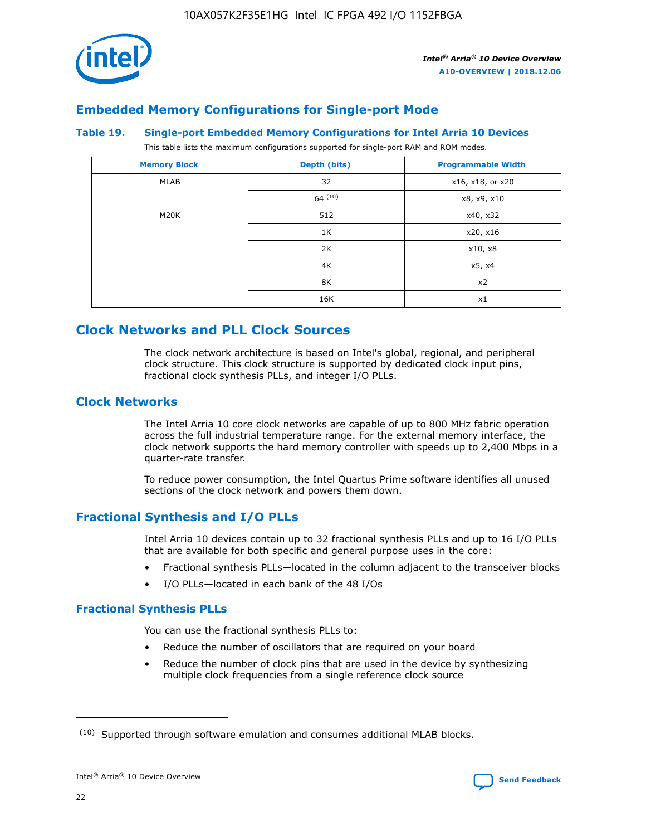

## **Embedded Memory Configurations for Single-port Mode**

#### **Table 19. Single-port Embedded Memory Configurations for Intel Arria 10 Devices**

This table lists the maximum configurations supported for single-port RAM and ROM modes.

| <b>Memory Block</b> | Depth (bits) | <b>Programmable Width</b> |
|---------------------|--------------|---------------------------|
| MLAB                | 32           | x16, x18, or x20          |
|                     | 64(10)       | x8, x9, x10               |
| M20K                | 512          | x40, x32                  |
|                     | 1K           | x20, x16                  |
|                     | 2K           | x10, x8                   |
|                     | 4K           | x5, x4                    |
|                     | 8K           | x2                        |
|                     | 16K          | x1                        |

# **Clock Networks and PLL Clock Sources**

The clock network architecture is based on Intel's global, regional, and peripheral clock structure. This clock structure is supported by dedicated clock input pins, fractional clock synthesis PLLs, and integer I/O PLLs.

## **Clock Networks**

The Intel Arria 10 core clock networks are capable of up to 800 MHz fabric operation across the full industrial temperature range. For the external memory interface, the clock network supports the hard memory controller with speeds up to 2,400 Mbps in a quarter-rate transfer.

To reduce power consumption, the Intel Quartus Prime software identifies all unused sections of the clock network and powers them down.

## **Fractional Synthesis and I/O PLLs**

Intel Arria 10 devices contain up to 32 fractional synthesis PLLs and up to 16 I/O PLLs that are available for both specific and general purpose uses in the core:

- Fractional synthesis PLLs—located in the column adjacent to the transceiver blocks
- I/O PLLs—located in each bank of the 48 I/Os

#### **Fractional Synthesis PLLs**

You can use the fractional synthesis PLLs to:

- Reduce the number of oscillators that are required on your board
- Reduce the number of clock pins that are used in the device by synthesizing multiple clock frequencies from a single reference clock source

<sup>(10)</sup> Supported through software emulation and consumes additional MLAB blocks.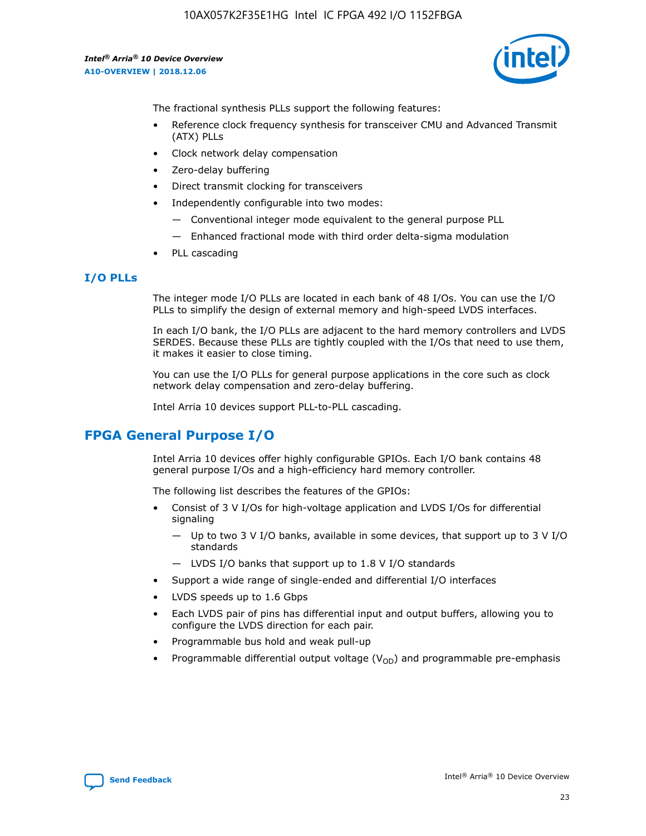

The fractional synthesis PLLs support the following features:

- Reference clock frequency synthesis for transceiver CMU and Advanced Transmit (ATX) PLLs
- Clock network delay compensation
- Zero-delay buffering
- Direct transmit clocking for transceivers
- Independently configurable into two modes:
	- Conventional integer mode equivalent to the general purpose PLL
	- Enhanced fractional mode with third order delta-sigma modulation
- PLL cascading

## **I/O PLLs**

The integer mode I/O PLLs are located in each bank of 48 I/Os. You can use the I/O PLLs to simplify the design of external memory and high-speed LVDS interfaces.

In each I/O bank, the I/O PLLs are adjacent to the hard memory controllers and LVDS SERDES. Because these PLLs are tightly coupled with the I/Os that need to use them, it makes it easier to close timing.

You can use the I/O PLLs for general purpose applications in the core such as clock network delay compensation and zero-delay buffering.

Intel Arria 10 devices support PLL-to-PLL cascading.

# **FPGA General Purpose I/O**

Intel Arria 10 devices offer highly configurable GPIOs. Each I/O bank contains 48 general purpose I/Os and a high-efficiency hard memory controller.

The following list describes the features of the GPIOs:

- Consist of 3 V I/Os for high-voltage application and LVDS I/Os for differential signaling
	- Up to two 3 V I/O banks, available in some devices, that support up to 3 V I/O standards
	- LVDS I/O banks that support up to 1.8 V I/O standards
- Support a wide range of single-ended and differential I/O interfaces
- LVDS speeds up to 1.6 Gbps
- Each LVDS pair of pins has differential input and output buffers, allowing you to configure the LVDS direction for each pair.
- Programmable bus hold and weak pull-up
- Programmable differential output voltage  $(V_{OD})$  and programmable pre-emphasis

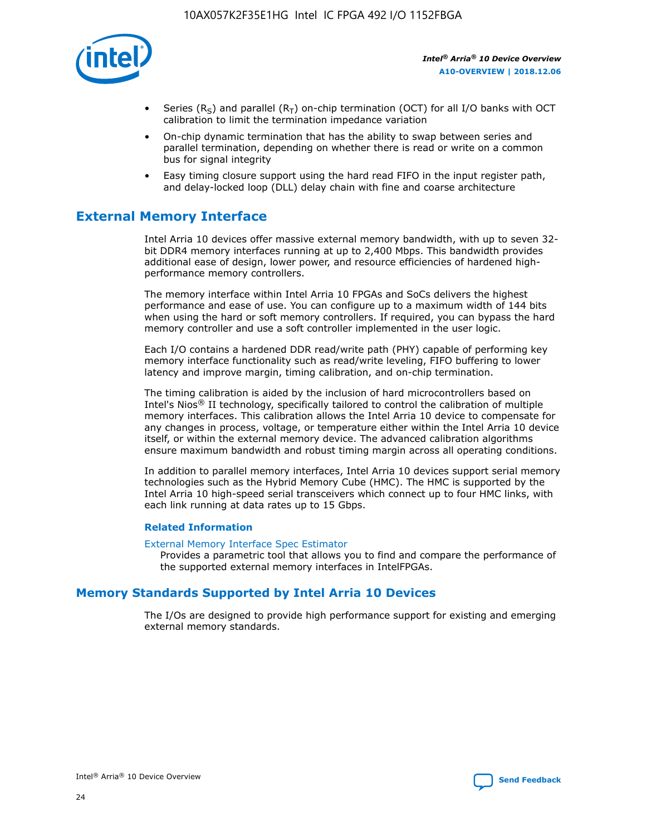

- Series (R<sub>S</sub>) and parallel (R<sub>T</sub>) on-chip termination (OCT) for all I/O banks with OCT calibration to limit the termination impedance variation
- On-chip dynamic termination that has the ability to swap between series and parallel termination, depending on whether there is read or write on a common bus for signal integrity
- Easy timing closure support using the hard read FIFO in the input register path, and delay-locked loop (DLL) delay chain with fine and coarse architecture

# **External Memory Interface**

Intel Arria 10 devices offer massive external memory bandwidth, with up to seven 32 bit DDR4 memory interfaces running at up to 2,400 Mbps. This bandwidth provides additional ease of design, lower power, and resource efficiencies of hardened highperformance memory controllers.

The memory interface within Intel Arria 10 FPGAs and SoCs delivers the highest performance and ease of use. You can configure up to a maximum width of 144 bits when using the hard or soft memory controllers. If required, you can bypass the hard memory controller and use a soft controller implemented in the user logic.

Each I/O contains a hardened DDR read/write path (PHY) capable of performing key memory interface functionality such as read/write leveling, FIFO buffering to lower latency and improve margin, timing calibration, and on-chip termination.

The timing calibration is aided by the inclusion of hard microcontrollers based on Intel's Nios® II technology, specifically tailored to control the calibration of multiple memory interfaces. This calibration allows the Intel Arria 10 device to compensate for any changes in process, voltage, or temperature either within the Intel Arria 10 device itself, or within the external memory device. The advanced calibration algorithms ensure maximum bandwidth and robust timing margin across all operating conditions.

In addition to parallel memory interfaces, Intel Arria 10 devices support serial memory technologies such as the Hybrid Memory Cube (HMC). The HMC is supported by the Intel Arria 10 high-speed serial transceivers which connect up to four HMC links, with each link running at data rates up to 15 Gbps.

#### **Related Information**

#### [External Memory Interface Spec Estimator](http://www.altera.com/technology/memory/estimator/mem-emif-index.html)

Provides a parametric tool that allows you to find and compare the performance of the supported external memory interfaces in IntelFPGAs.

## **Memory Standards Supported by Intel Arria 10 Devices**

The I/Os are designed to provide high performance support for existing and emerging external memory standards.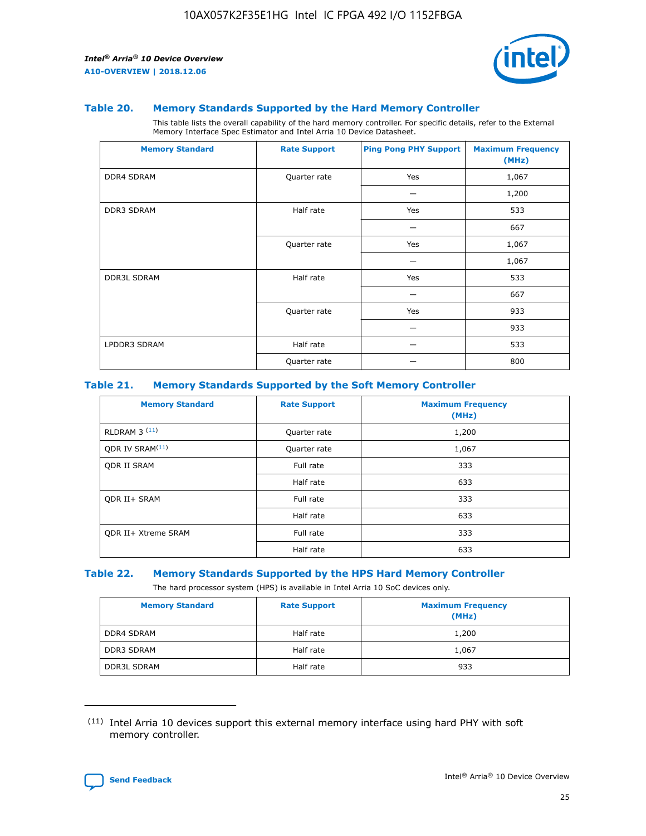

#### **Table 20. Memory Standards Supported by the Hard Memory Controller**

This table lists the overall capability of the hard memory controller. For specific details, refer to the External Memory Interface Spec Estimator and Intel Arria 10 Device Datasheet.

| <b>Memory Standard</b> | <b>Rate Support</b> | <b>Ping Pong PHY Support</b> | <b>Maximum Frequency</b><br>(MHz) |
|------------------------|---------------------|------------------------------|-----------------------------------|
| <b>DDR4 SDRAM</b>      | Quarter rate        | Yes                          | 1,067                             |
|                        |                     |                              | 1,200                             |
| <b>DDR3 SDRAM</b>      | Half rate           | Yes                          | 533                               |
|                        |                     |                              | 667                               |
|                        | Quarter rate        | Yes                          | 1,067                             |
|                        |                     |                              | 1,067                             |
| <b>DDR3L SDRAM</b>     | Half rate           | Yes                          | 533                               |
|                        |                     |                              | 667                               |
|                        | Quarter rate        | Yes                          | 933                               |
|                        |                     |                              | 933                               |
| LPDDR3 SDRAM           | Half rate           |                              | 533                               |
|                        | Quarter rate        |                              | 800                               |

#### **Table 21. Memory Standards Supported by the Soft Memory Controller**

| <b>Memory Standard</b>      | <b>Rate Support</b> | <b>Maximum Frequency</b><br>(MHz) |
|-----------------------------|---------------------|-----------------------------------|
| <b>RLDRAM 3 (11)</b>        | Quarter rate        | 1,200                             |
| ODR IV SRAM <sup>(11)</sup> | Quarter rate        | 1,067                             |
| <b>ODR II SRAM</b>          | Full rate           | 333                               |
|                             | Half rate           | 633                               |
| <b>ODR II+ SRAM</b>         | Full rate           | 333                               |
|                             | Half rate           | 633                               |
| <b>ODR II+ Xtreme SRAM</b>  | Full rate           | 333                               |
|                             | Half rate           | 633                               |

#### **Table 22. Memory Standards Supported by the HPS Hard Memory Controller**

The hard processor system (HPS) is available in Intel Arria 10 SoC devices only.

| <b>Memory Standard</b> | <b>Rate Support</b> | <b>Maximum Frequency</b><br>(MHz) |
|------------------------|---------------------|-----------------------------------|
| <b>DDR4 SDRAM</b>      | Half rate           | 1,200                             |
| <b>DDR3 SDRAM</b>      | Half rate           | 1,067                             |
| <b>DDR3L SDRAM</b>     | Half rate           | 933                               |

<sup>(11)</sup> Intel Arria 10 devices support this external memory interface using hard PHY with soft memory controller.

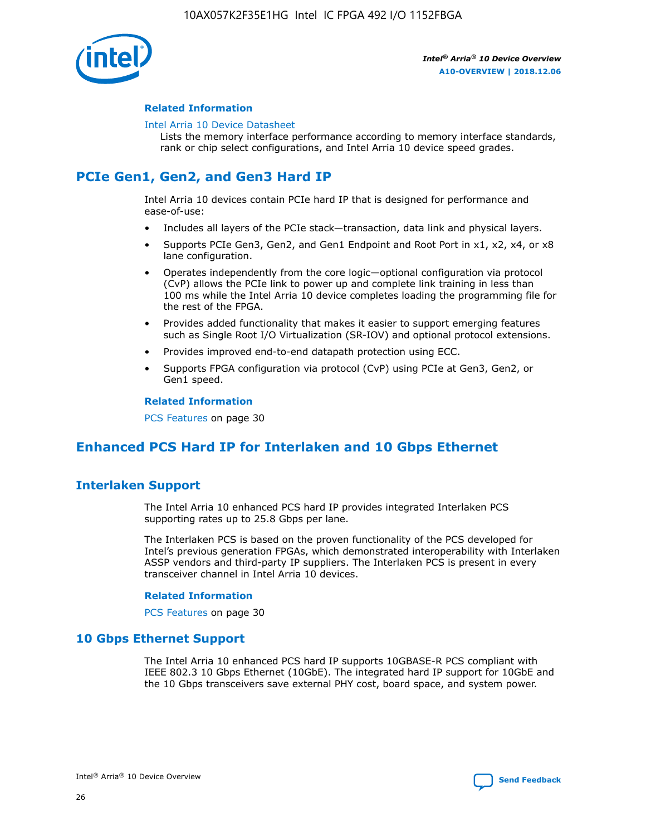

#### **Related Information**

#### [Intel Arria 10 Device Datasheet](https://www.intel.com/content/www/us/en/programmable/documentation/mcn1413182292568.html#mcn1413182153340)

Lists the memory interface performance according to memory interface standards, rank or chip select configurations, and Intel Arria 10 device speed grades.

# **PCIe Gen1, Gen2, and Gen3 Hard IP**

Intel Arria 10 devices contain PCIe hard IP that is designed for performance and ease-of-use:

- Includes all layers of the PCIe stack—transaction, data link and physical layers.
- Supports PCIe Gen3, Gen2, and Gen1 Endpoint and Root Port in x1, x2, x4, or x8 lane configuration.
- Operates independently from the core logic—optional configuration via protocol (CvP) allows the PCIe link to power up and complete link training in less than 100 ms while the Intel Arria 10 device completes loading the programming file for the rest of the FPGA.
- Provides added functionality that makes it easier to support emerging features such as Single Root I/O Virtualization (SR-IOV) and optional protocol extensions.
- Provides improved end-to-end datapath protection using ECC.
- Supports FPGA configuration via protocol (CvP) using PCIe at Gen3, Gen2, or Gen1 speed.

#### **Related Information**

PCS Features on page 30

# **Enhanced PCS Hard IP for Interlaken and 10 Gbps Ethernet**

## **Interlaken Support**

The Intel Arria 10 enhanced PCS hard IP provides integrated Interlaken PCS supporting rates up to 25.8 Gbps per lane.

The Interlaken PCS is based on the proven functionality of the PCS developed for Intel's previous generation FPGAs, which demonstrated interoperability with Interlaken ASSP vendors and third-party IP suppliers. The Interlaken PCS is present in every transceiver channel in Intel Arria 10 devices.

#### **Related Information**

PCS Features on page 30

## **10 Gbps Ethernet Support**

The Intel Arria 10 enhanced PCS hard IP supports 10GBASE-R PCS compliant with IEEE 802.3 10 Gbps Ethernet (10GbE). The integrated hard IP support for 10GbE and the 10 Gbps transceivers save external PHY cost, board space, and system power.

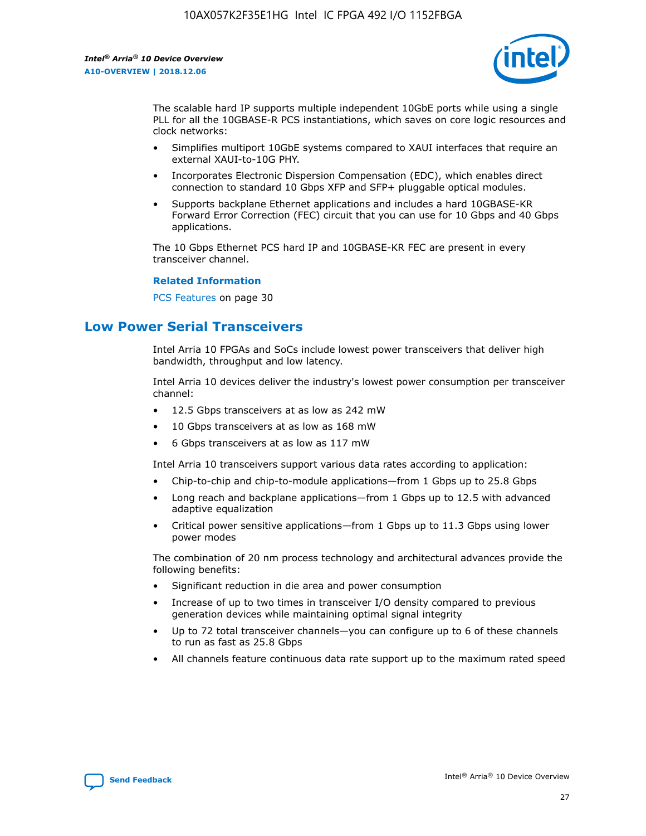

The scalable hard IP supports multiple independent 10GbE ports while using a single PLL for all the 10GBASE-R PCS instantiations, which saves on core logic resources and clock networks:

- Simplifies multiport 10GbE systems compared to XAUI interfaces that require an external XAUI-to-10G PHY.
- Incorporates Electronic Dispersion Compensation (EDC), which enables direct connection to standard 10 Gbps XFP and SFP+ pluggable optical modules.
- Supports backplane Ethernet applications and includes a hard 10GBASE-KR Forward Error Correction (FEC) circuit that you can use for 10 Gbps and 40 Gbps applications.

The 10 Gbps Ethernet PCS hard IP and 10GBASE-KR FEC are present in every transceiver channel.

#### **Related Information**

PCS Features on page 30

# **Low Power Serial Transceivers**

Intel Arria 10 FPGAs and SoCs include lowest power transceivers that deliver high bandwidth, throughput and low latency.

Intel Arria 10 devices deliver the industry's lowest power consumption per transceiver channel:

- 12.5 Gbps transceivers at as low as 242 mW
- 10 Gbps transceivers at as low as 168 mW
- 6 Gbps transceivers at as low as 117 mW

Intel Arria 10 transceivers support various data rates according to application:

- Chip-to-chip and chip-to-module applications—from 1 Gbps up to 25.8 Gbps
- Long reach and backplane applications—from 1 Gbps up to 12.5 with advanced adaptive equalization
- Critical power sensitive applications—from 1 Gbps up to 11.3 Gbps using lower power modes

The combination of 20 nm process technology and architectural advances provide the following benefits:

- Significant reduction in die area and power consumption
- Increase of up to two times in transceiver I/O density compared to previous generation devices while maintaining optimal signal integrity
- Up to 72 total transceiver channels—you can configure up to 6 of these channels to run as fast as 25.8 Gbps
- All channels feature continuous data rate support up to the maximum rated speed

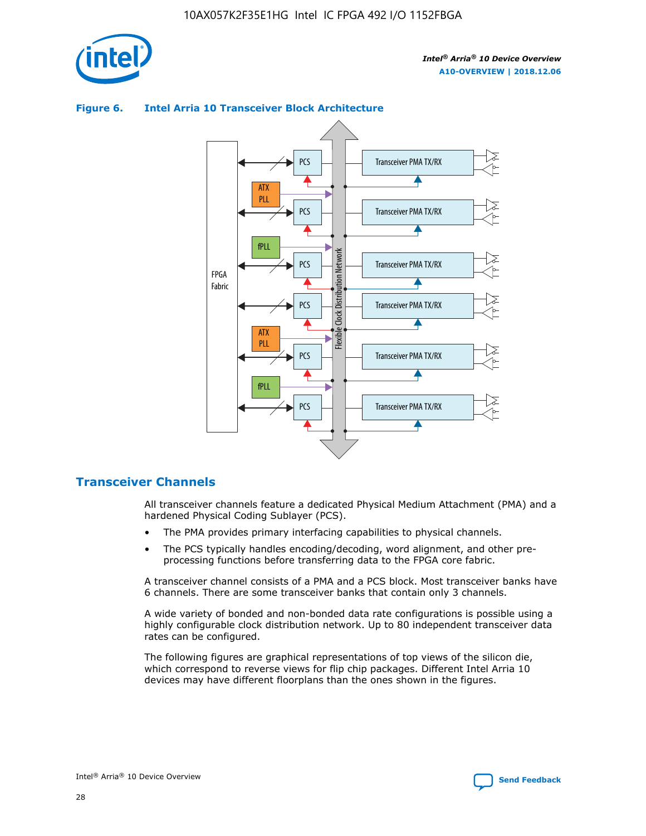

## Transceiver PMA TX/RX PCS ATX PLL Transceiver PMA TX/RX PCS fPLL Network Flexible Clock Distribution Network PCS Transceiver PMA TX/RX FPGA **Clock Distribution** Fabric PCS Transceiver PMA TX/RX ATX Flexible PLL PCS Transceiver PMA TX/RX ▲ fPLL Transceiver PMA TX/RX PCS 4

## **Figure 6. Intel Arria 10 Transceiver Block Architecture**

## **Transceiver Channels**

All transceiver channels feature a dedicated Physical Medium Attachment (PMA) and a hardened Physical Coding Sublayer (PCS).

- The PMA provides primary interfacing capabilities to physical channels.
- The PCS typically handles encoding/decoding, word alignment, and other preprocessing functions before transferring data to the FPGA core fabric.

A transceiver channel consists of a PMA and a PCS block. Most transceiver banks have 6 channels. There are some transceiver banks that contain only 3 channels.

A wide variety of bonded and non-bonded data rate configurations is possible using a highly configurable clock distribution network. Up to 80 independent transceiver data rates can be configured.

The following figures are graphical representations of top views of the silicon die, which correspond to reverse views for flip chip packages. Different Intel Arria 10 devices may have different floorplans than the ones shown in the figures.

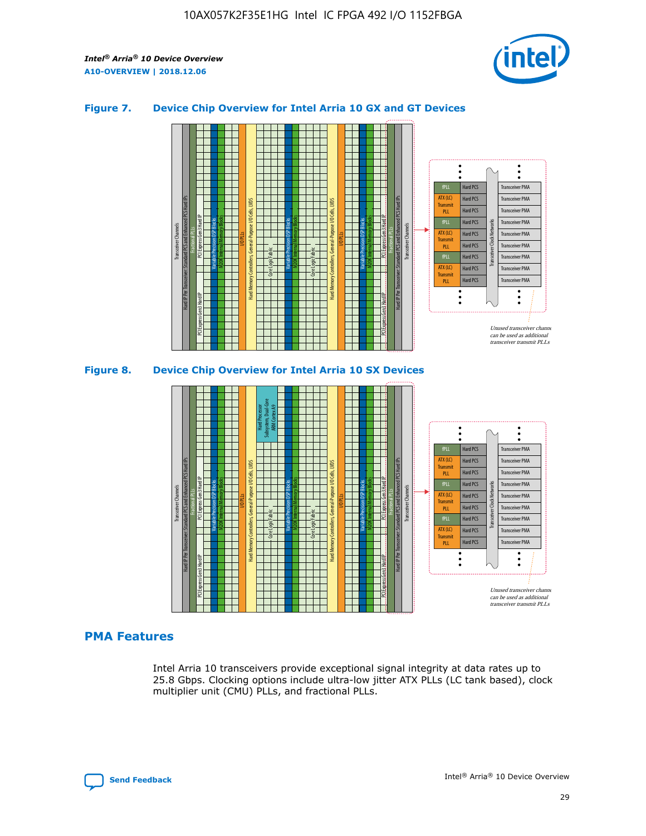

## **Figure 7. Device Chip Overview for Intel Arria 10 GX and GT Devices**





## **PMA Features**

Intel Arria 10 transceivers provide exceptional signal integrity at data rates up to 25.8 Gbps. Clocking options include ultra-low jitter ATX PLLs (LC tank based), clock multiplier unit (CMU) PLLs, and fractional PLLs.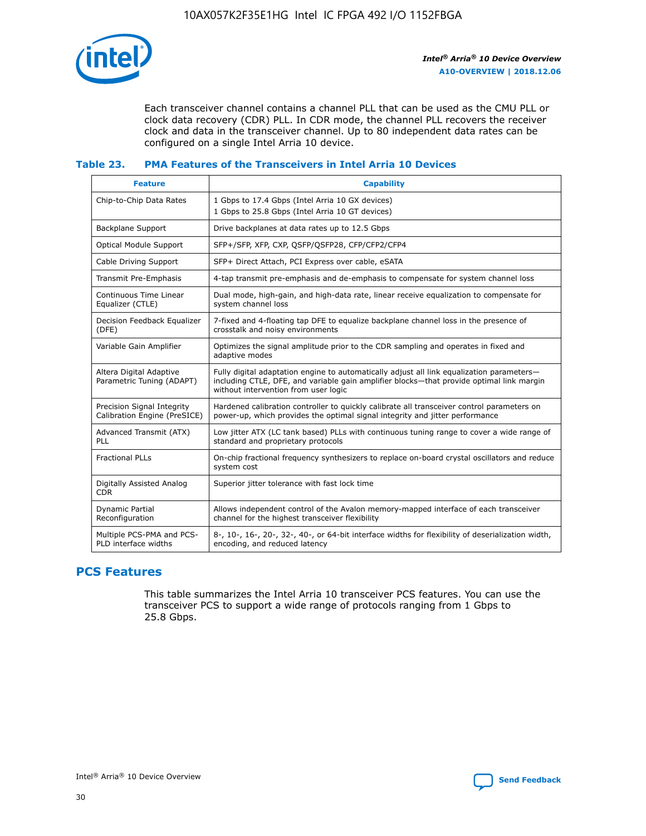

Each transceiver channel contains a channel PLL that can be used as the CMU PLL or clock data recovery (CDR) PLL. In CDR mode, the channel PLL recovers the receiver clock and data in the transceiver channel. Up to 80 independent data rates can be configured on a single Intel Arria 10 device.

## **Table 23. PMA Features of the Transceivers in Intel Arria 10 Devices**

| <b>Feature</b>                                             | <b>Capability</b>                                                                                                                                                                                                             |
|------------------------------------------------------------|-------------------------------------------------------------------------------------------------------------------------------------------------------------------------------------------------------------------------------|
| Chip-to-Chip Data Rates                                    | 1 Gbps to 17.4 Gbps (Intel Arria 10 GX devices)<br>1 Gbps to 25.8 Gbps (Intel Arria 10 GT devices)                                                                                                                            |
| Backplane Support                                          | Drive backplanes at data rates up to 12.5 Gbps                                                                                                                                                                                |
| <b>Optical Module Support</b>                              | SFP+/SFP, XFP, CXP, QSFP/QSFP28, CFP/CFP2/CFP4                                                                                                                                                                                |
| Cable Driving Support                                      | SFP+ Direct Attach, PCI Express over cable, eSATA                                                                                                                                                                             |
| Transmit Pre-Emphasis                                      | 4-tap transmit pre-emphasis and de-emphasis to compensate for system channel loss                                                                                                                                             |
| Continuous Time Linear<br>Equalizer (CTLE)                 | Dual mode, high-gain, and high-data rate, linear receive equalization to compensate for<br>system channel loss                                                                                                                |
| Decision Feedback Equalizer<br>(DFE)                       | 7-fixed and 4-floating tap DFE to equalize backplane channel loss in the presence of<br>crosstalk and noisy environments                                                                                                      |
| Variable Gain Amplifier                                    | Optimizes the signal amplitude prior to the CDR sampling and operates in fixed and<br>adaptive modes                                                                                                                          |
| Altera Digital Adaptive<br>Parametric Tuning (ADAPT)       | Fully digital adaptation engine to automatically adjust all link equalization parameters-<br>including CTLE, DFE, and variable gain amplifier blocks—that provide optimal link margin<br>without intervention from user logic |
| Precision Signal Integrity<br>Calibration Engine (PreSICE) | Hardened calibration controller to quickly calibrate all transceiver control parameters on<br>power-up, which provides the optimal signal integrity and jitter performance                                                    |
| Advanced Transmit (ATX)<br>PLL                             | Low jitter ATX (LC tank based) PLLs with continuous tuning range to cover a wide range of<br>standard and proprietary protocols                                                                                               |
| <b>Fractional PLLs</b>                                     | On-chip fractional frequency synthesizers to replace on-board crystal oscillators and reduce<br>system cost                                                                                                                   |
| Digitally Assisted Analog<br><b>CDR</b>                    | Superior jitter tolerance with fast lock time                                                                                                                                                                                 |
| Dynamic Partial<br>Reconfiguration                         | Allows independent control of the Avalon memory-mapped interface of each transceiver<br>channel for the highest transceiver flexibility                                                                                       |
| Multiple PCS-PMA and PCS-<br>PLD interface widths          | 8-, 10-, 16-, 20-, 32-, 40-, or 64-bit interface widths for flexibility of deserialization width,<br>encoding, and reduced latency                                                                                            |

## **PCS Features**

This table summarizes the Intel Arria 10 transceiver PCS features. You can use the transceiver PCS to support a wide range of protocols ranging from 1 Gbps to 25.8 Gbps.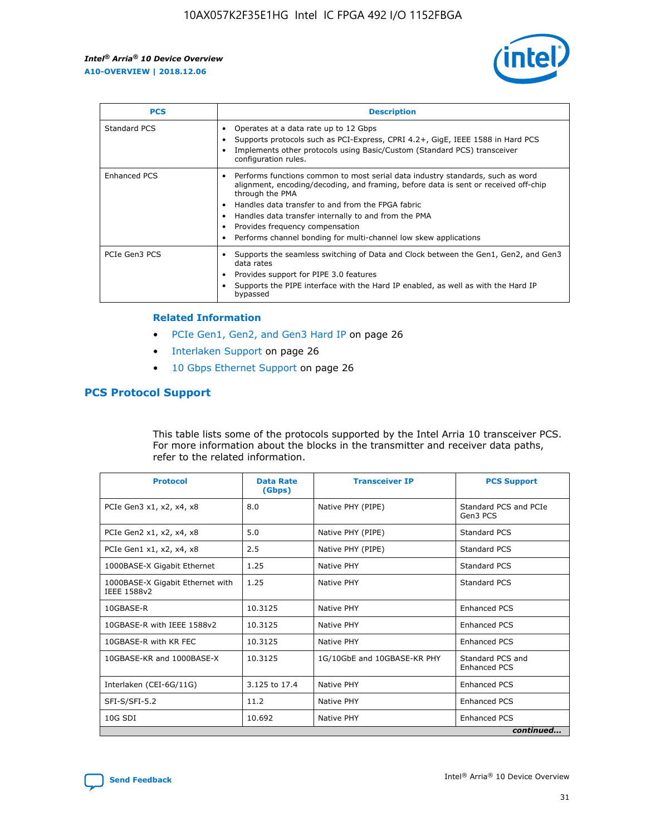

| <b>PCS</b>    | <b>Description</b>                                                                                                                                                                                                                                                                                                                                                                                             |
|---------------|----------------------------------------------------------------------------------------------------------------------------------------------------------------------------------------------------------------------------------------------------------------------------------------------------------------------------------------------------------------------------------------------------------------|
| Standard PCS  | Operates at a data rate up to 12 Gbps<br>Supports protocols such as PCI-Express, CPRI 4.2+, GigE, IEEE 1588 in Hard PCS<br>Implements other protocols using Basic/Custom (Standard PCS) transceiver<br>configuration rules.                                                                                                                                                                                    |
| Enhanced PCS  | Performs functions common to most serial data industry standards, such as word<br>alignment, encoding/decoding, and framing, before data is sent or received off-chip<br>through the PMA<br>• Handles data transfer to and from the FPGA fabric<br>Handles data transfer internally to and from the PMA<br>Provides frequency compensation<br>Performs channel bonding for multi-channel low skew applications |
| PCIe Gen3 PCS | Supports the seamless switching of Data and Clock between the Gen1, Gen2, and Gen3<br>data rates<br>Provides support for PIPE 3.0 features<br>Supports the PIPE interface with the Hard IP enabled, as well as with the Hard IP<br>bypassed                                                                                                                                                                    |

#### **Related Information**

- PCIe Gen1, Gen2, and Gen3 Hard IP on page 26
- Interlaken Support on page 26
- 10 Gbps Ethernet Support on page 26

## **PCS Protocol Support**

This table lists some of the protocols supported by the Intel Arria 10 transceiver PCS. For more information about the blocks in the transmitter and receiver data paths, refer to the related information.

| <b>Protocol</b>                                 | <b>Data Rate</b><br>(Gbps) | <b>Transceiver IP</b>       | <b>PCS Support</b>                      |
|-------------------------------------------------|----------------------------|-----------------------------|-----------------------------------------|
| PCIe Gen3 x1, x2, x4, x8                        | 8.0                        | Native PHY (PIPE)           | Standard PCS and PCIe<br>Gen3 PCS       |
| PCIe Gen2 x1, x2, x4, x8                        | 5.0                        | Native PHY (PIPE)           | <b>Standard PCS</b>                     |
| PCIe Gen1 x1, x2, x4, x8                        | 2.5                        | Native PHY (PIPE)           | Standard PCS                            |
| 1000BASE-X Gigabit Ethernet                     | 1.25                       | Native PHY                  | <b>Standard PCS</b>                     |
| 1000BASE-X Gigabit Ethernet with<br>IEEE 1588v2 | 1.25                       | Native PHY                  | Standard PCS                            |
| 10GBASE-R                                       | 10.3125                    | Native PHY                  | <b>Enhanced PCS</b>                     |
| 10GBASE-R with IEEE 1588v2                      | 10.3125                    | Native PHY                  | <b>Enhanced PCS</b>                     |
| 10GBASE-R with KR FEC                           | 10.3125                    | Native PHY                  | <b>Enhanced PCS</b>                     |
| 10GBASE-KR and 1000BASE-X                       | 10.3125                    | 1G/10GbE and 10GBASE-KR PHY | Standard PCS and<br><b>Enhanced PCS</b> |
| Interlaken (CEI-6G/11G)                         | 3.125 to 17.4              | Native PHY                  | <b>Enhanced PCS</b>                     |
| SFI-S/SFI-5.2                                   | 11.2                       | Native PHY                  | <b>Enhanced PCS</b>                     |
| 10G SDI                                         | 10.692                     | Native PHY                  | <b>Enhanced PCS</b>                     |
|                                                 |                            |                             | continued                               |

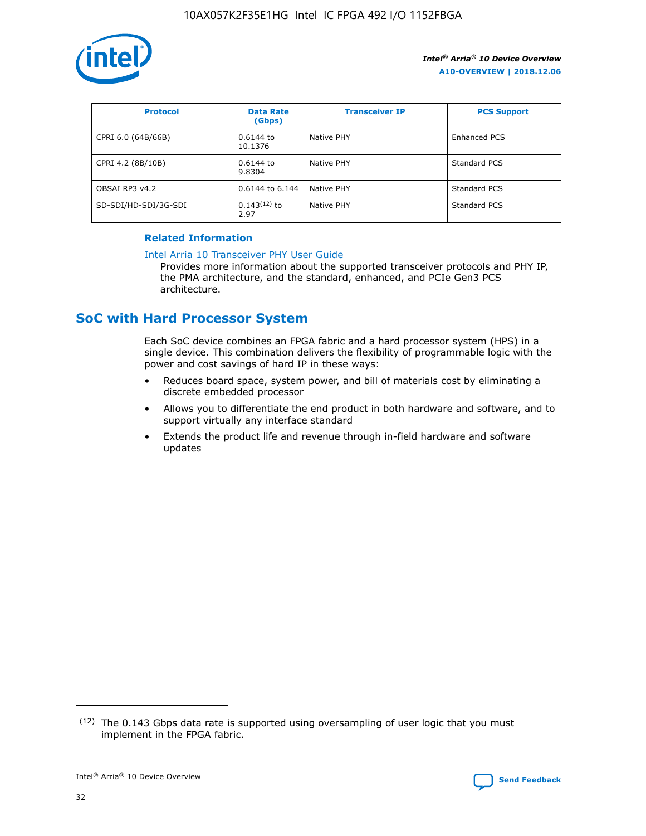

| <b>Protocol</b>      | <b>Data Rate</b><br>(Gbps) | <b>Transceiver IP</b> | <b>PCS Support</b> |
|----------------------|----------------------------|-----------------------|--------------------|
| CPRI 6.0 (64B/66B)   | 0.6144 to<br>10.1376       | Native PHY            | Enhanced PCS       |
| CPRI 4.2 (8B/10B)    | 0.6144 to<br>9.8304        | Native PHY            | Standard PCS       |
| OBSAI RP3 v4.2       | 0.6144 to 6.144            | Native PHY            | Standard PCS       |
| SD-SDI/HD-SDI/3G-SDI | $0.143(12)$ to<br>2.97     | Native PHY            | Standard PCS       |

## **Related Information**

#### [Intel Arria 10 Transceiver PHY User Guide](https://www.intel.com/content/www/us/en/programmable/documentation/nik1398707230472.html#nik1398707091164)

Provides more information about the supported transceiver protocols and PHY IP, the PMA architecture, and the standard, enhanced, and PCIe Gen3 PCS architecture.

# **SoC with Hard Processor System**

Each SoC device combines an FPGA fabric and a hard processor system (HPS) in a single device. This combination delivers the flexibility of programmable logic with the power and cost savings of hard IP in these ways:

- Reduces board space, system power, and bill of materials cost by eliminating a discrete embedded processor
- Allows you to differentiate the end product in both hardware and software, and to support virtually any interface standard
- Extends the product life and revenue through in-field hardware and software updates

 $(12)$  The 0.143 Gbps data rate is supported using oversampling of user logic that you must implement in the FPGA fabric.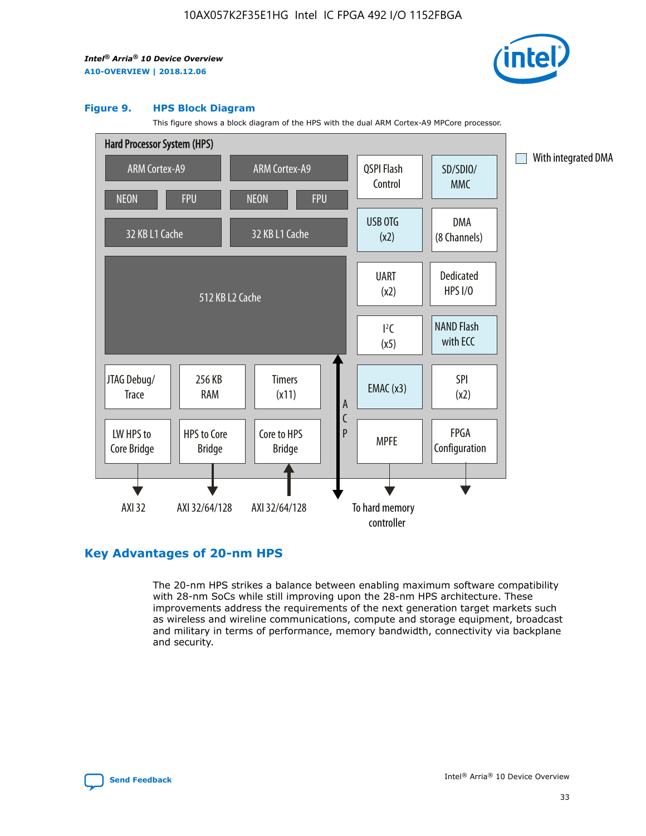

#### **Figure 9. HPS Block Diagram**

This figure shows a block diagram of the HPS with the dual ARM Cortex-A9 MPCore processor.



## **Key Advantages of 20-nm HPS**

The 20-nm HPS strikes a balance between enabling maximum software compatibility with 28-nm SoCs while still improving upon the 28-nm HPS architecture. These improvements address the requirements of the next generation target markets such as wireless and wireline communications, compute and storage equipment, broadcast and military in terms of performance, memory bandwidth, connectivity via backplane and security.

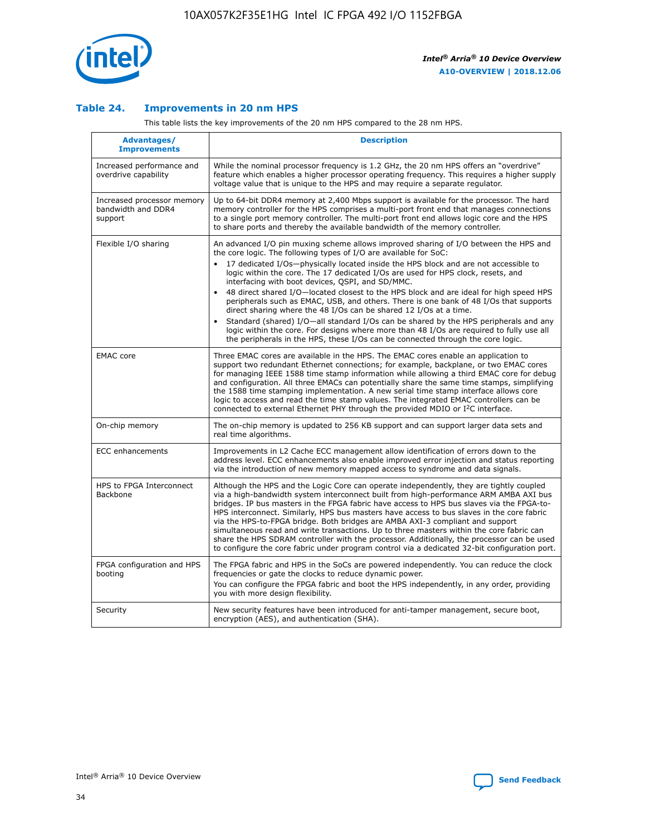

## **Table 24. Improvements in 20 nm HPS**

This table lists the key improvements of the 20 nm HPS compared to the 28 nm HPS.

| Advantages/<br><b>Improvements</b>                          | <b>Description</b>                                                                                                                                                                                                                                                                                                                                                                                                                                                                                                                                                                                                                                                                                                                                                                                                                                                                                                                                |
|-------------------------------------------------------------|---------------------------------------------------------------------------------------------------------------------------------------------------------------------------------------------------------------------------------------------------------------------------------------------------------------------------------------------------------------------------------------------------------------------------------------------------------------------------------------------------------------------------------------------------------------------------------------------------------------------------------------------------------------------------------------------------------------------------------------------------------------------------------------------------------------------------------------------------------------------------------------------------------------------------------------------------|
| Increased performance and<br>overdrive capability           | While the nominal processor frequency is 1.2 GHz, the 20 nm HPS offers an "overdrive"<br>feature which enables a higher processor operating frequency. This requires a higher supply<br>voltage value that is unique to the HPS and may require a separate regulator.                                                                                                                                                                                                                                                                                                                                                                                                                                                                                                                                                                                                                                                                             |
| Increased processor memory<br>bandwidth and DDR4<br>support | Up to 64-bit DDR4 memory at 2,400 Mbps support is available for the processor. The hard<br>memory controller for the HPS comprises a multi-port front end that manages connections<br>to a single port memory controller. The multi-port front end allows logic core and the HPS<br>to share ports and thereby the available bandwidth of the memory controller.                                                                                                                                                                                                                                                                                                                                                                                                                                                                                                                                                                                  |
| Flexible I/O sharing                                        | An advanced I/O pin muxing scheme allows improved sharing of I/O between the HPS and<br>the core logic. The following types of I/O are available for SoC:<br>$\bullet$<br>17 dedicated I/Os-physically located inside the HPS block and are not accessible to<br>logic within the core. The 17 dedicated I/Os are used for HPS clock, resets, and<br>interfacing with boot devices, QSPI, and SD/MMC.<br>48 direct shared I/O-located closest to the HPS block and are ideal for high speed HPS<br>$\bullet$<br>peripherals such as EMAC, USB, and others. There is one bank of 48 I/Os that supports<br>direct sharing where the 48 I/Os can be shared 12 I/Os at a time.<br>Standard (shared) I/O-all standard I/Os can be shared by the HPS peripherals and any<br>logic within the core. For designs where more than 48 I/Os are required to fully use all<br>the peripherals in the HPS, these I/Os can be connected through the core logic. |
| <b>EMAC</b> core                                            | Three EMAC cores are available in the HPS. The EMAC cores enable an application to<br>support two redundant Ethernet connections; for example, backplane, or two EMAC cores<br>for managing IEEE 1588 time stamp information while allowing a third EMAC core for debug<br>and configuration. All three EMACs can potentially share the same time stamps, simplifying<br>the 1588 time stamping implementation. A new serial time stamp interface allows core<br>logic to access and read the time stamp values. The integrated EMAC controllers can be<br>connected to external Ethernet PHY through the provided MDIO or I <sup>2</sup> C interface.                                                                                                                                                                                                                                                                                            |
| On-chip memory                                              | The on-chip memory is updated to 256 KB support and can support larger data sets and<br>real time algorithms.                                                                                                                                                                                                                                                                                                                                                                                                                                                                                                                                                                                                                                                                                                                                                                                                                                     |
| <b>ECC</b> enhancements                                     | Improvements in L2 Cache ECC management allow identification of errors down to the<br>address level. ECC enhancements also enable improved error injection and status reporting<br>via the introduction of new memory mapped access to syndrome and data signals.                                                                                                                                                                                                                                                                                                                                                                                                                                                                                                                                                                                                                                                                                 |
| HPS to FPGA Interconnect<br>Backbone                        | Although the HPS and the Logic Core can operate independently, they are tightly coupled<br>via a high-bandwidth system interconnect built from high-performance ARM AMBA AXI bus<br>bridges. IP bus masters in the FPGA fabric have access to HPS bus slaves via the FPGA-to-<br>HPS interconnect. Similarly, HPS bus masters have access to bus slaves in the core fabric<br>via the HPS-to-FPGA bridge. Both bridges are AMBA AXI-3 compliant and support<br>simultaneous read and write transactions. Up to three masters within the core fabric can<br>share the HPS SDRAM controller with the processor. Additionally, the processor can be used<br>to configure the core fabric under program control via a dedicated 32-bit configuration port.                                                                                                                                                                                            |
| FPGA configuration and HPS<br>booting                       | The FPGA fabric and HPS in the SoCs are powered independently. You can reduce the clock<br>frequencies or gate the clocks to reduce dynamic power.<br>You can configure the FPGA fabric and boot the HPS independently, in any order, providing<br>you with more design flexibility.                                                                                                                                                                                                                                                                                                                                                                                                                                                                                                                                                                                                                                                              |
| Security                                                    | New security features have been introduced for anti-tamper management, secure boot,<br>encryption (AES), and authentication (SHA).                                                                                                                                                                                                                                                                                                                                                                                                                                                                                                                                                                                                                                                                                                                                                                                                                |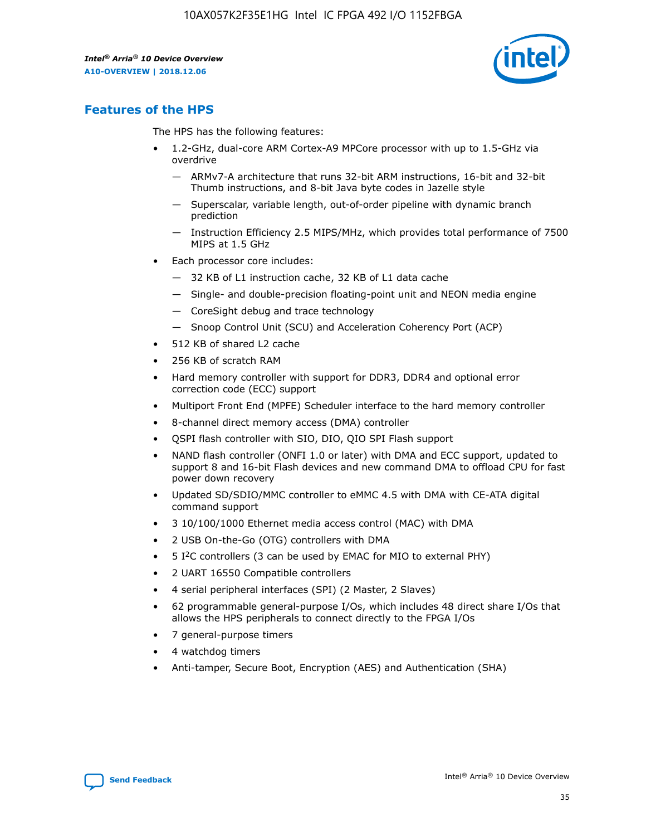

## **Features of the HPS**

The HPS has the following features:

- 1.2-GHz, dual-core ARM Cortex-A9 MPCore processor with up to 1.5-GHz via overdrive
	- ARMv7-A architecture that runs 32-bit ARM instructions, 16-bit and 32-bit Thumb instructions, and 8-bit Java byte codes in Jazelle style
	- Superscalar, variable length, out-of-order pipeline with dynamic branch prediction
	- Instruction Efficiency 2.5 MIPS/MHz, which provides total performance of 7500 MIPS at 1.5 GHz
- Each processor core includes:
	- 32 KB of L1 instruction cache, 32 KB of L1 data cache
	- Single- and double-precision floating-point unit and NEON media engine
	- CoreSight debug and trace technology
	- Snoop Control Unit (SCU) and Acceleration Coherency Port (ACP)
- 512 KB of shared L2 cache
- 256 KB of scratch RAM
- Hard memory controller with support for DDR3, DDR4 and optional error correction code (ECC) support
- Multiport Front End (MPFE) Scheduler interface to the hard memory controller
- 8-channel direct memory access (DMA) controller
- QSPI flash controller with SIO, DIO, QIO SPI Flash support
- NAND flash controller (ONFI 1.0 or later) with DMA and ECC support, updated to support 8 and 16-bit Flash devices and new command DMA to offload CPU for fast power down recovery
- Updated SD/SDIO/MMC controller to eMMC 4.5 with DMA with CE-ATA digital command support
- 3 10/100/1000 Ethernet media access control (MAC) with DMA
- 2 USB On-the-Go (OTG) controllers with DMA
- $\bullet$  5 I<sup>2</sup>C controllers (3 can be used by EMAC for MIO to external PHY)
- 2 UART 16550 Compatible controllers
- 4 serial peripheral interfaces (SPI) (2 Master, 2 Slaves)
- 62 programmable general-purpose I/Os, which includes 48 direct share I/Os that allows the HPS peripherals to connect directly to the FPGA I/Os
- 7 general-purpose timers
- 4 watchdog timers
- Anti-tamper, Secure Boot, Encryption (AES) and Authentication (SHA)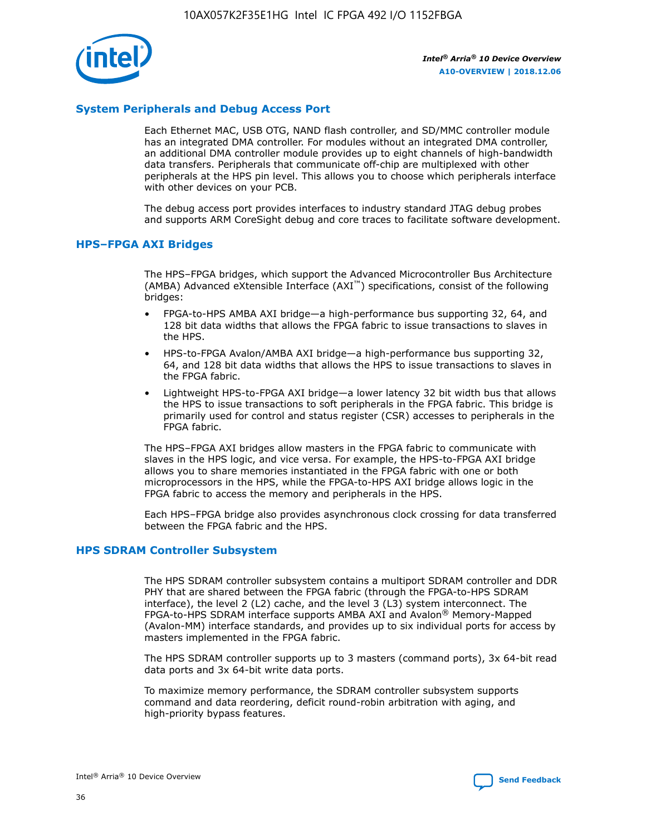

## **System Peripherals and Debug Access Port**

Each Ethernet MAC, USB OTG, NAND flash controller, and SD/MMC controller module has an integrated DMA controller. For modules without an integrated DMA controller, an additional DMA controller module provides up to eight channels of high-bandwidth data transfers. Peripherals that communicate off-chip are multiplexed with other peripherals at the HPS pin level. This allows you to choose which peripherals interface with other devices on your PCB.

The debug access port provides interfaces to industry standard JTAG debug probes and supports ARM CoreSight debug and core traces to facilitate software development.

#### **HPS–FPGA AXI Bridges**

The HPS–FPGA bridges, which support the Advanced Microcontroller Bus Architecture (AMBA) Advanced eXtensible Interface (AXI™) specifications, consist of the following bridges:

- FPGA-to-HPS AMBA AXI bridge—a high-performance bus supporting 32, 64, and 128 bit data widths that allows the FPGA fabric to issue transactions to slaves in the HPS.
- HPS-to-FPGA Avalon/AMBA AXI bridge—a high-performance bus supporting 32, 64, and 128 bit data widths that allows the HPS to issue transactions to slaves in the FPGA fabric.
- Lightweight HPS-to-FPGA AXI bridge—a lower latency 32 bit width bus that allows the HPS to issue transactions to soft peripherals in the FPGA fabric. This bridge is primarily used for control and status register (CSR) accesses to peripherals in the FPGA fabric.

The HPS–FPGA AXI bridges allow masters in the FPGA fabric to communicate with slaves in the HPS logic, and vice versa. For example, the HPS-to-FPGA AXI bridge allows you to share memories instantiated in the FPGA fabric with one or both microprocessors in the HPS, while the FPGA-to-HPS AXI bridge allows logic in the FPGA fabric to access the memory and peripherals in the HPS.

Each HPS–FPGA bridge also provides asynchronous clock crossing for data transferred between the FPGA fabric and the HPS.

#### **HPS SDRAM Controller Subsystem**

The HPS SDRAM controller subsystem contains a multiport SDRAM controller and DDR PHY that are shared between the FPGA fabric (through the FPGA-to-HPS SDRAM interface), the level 2 (L2) cache, and the level 3 (L3) system interconnect. The FPGA-to-HPS SDRAM interface supports AMBA AXI and Avalon® Memory-Mapped (Avalon-MM) interface standards, and provides up to six individual ports for access by masters implemented in the FPGA fabric.

The HPS SDRAM controller supports up to 3 masters (command ports), 3x 64-bit read data ports and 3x 64-bit write data ports.

To maximize memory performance, the SDRAM controller subsystem supports command and data reordering, deficit round-robin arbitration with aging, and high-priority bypass features.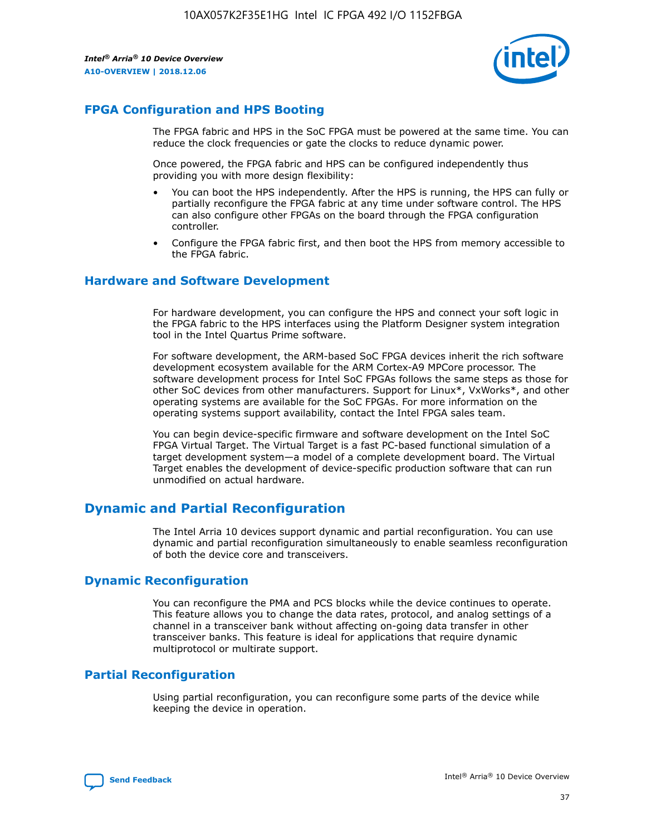

## **FPGA Configuration and HPS Booting**

The FPGA fabric and HPS in the SoC FPGA must be powered at the same time. You can reduce the clock frequencies or gate the clocks to reduce dynamic power.

Once powered, the FPGA fabric and HPS can be configured independently thus providing you with more design flexibility:

- You can boot the HPS independently. After the HPS is running, the HPS can fully or partially reconfigure the FPGA fabric at any time under software control. The HPS can also configure other FPGAs on the board through the FPGA configuration controller.
- Configure the FPGA fabric first, and then boot the HPS from memory accessible to the FPGA fabric.

## **Hardware and Software Development**

For hardware development, you can configure the HPS and connect your soft logic in the FPGA fabric to the HPS interfaces using the Platform Designer system integration tool in the Intel Quartus Prime software.

For software development, the ARM-based SoC FPGA devices inherit the rich software development ecosystem available for the ARM Cortex-A9 MPCore processor. The software development process for Intel SoC FPGAs follows the same steps as those for other SoC devices from other manufacturers. Support for Linux\*, VxWorks\*, and other operating systems are available for the SoC FPGAs. For more information on the operating systems support availability, contact the Intel FPGA sales team.

You can begin device-specific firmware and software development on the Intel SoC FPGA Virtual Target. The Virtual Target is a fast PC-based functional simulation of a target development system—a model of a complete development board. The Virtual Target enables the development of device-specific production software that can run unmodified on actual hardware.

## **Dynamic and Partial Reconfiguration**

The Intel Arria 10 devices support dynamic and partial reconfiguration. You can use dynamic and partial reconfiguration simultaneously to enable seamless reconfiguration of both the device core and transceivers.

## **Dynamic Reconfiguration**

You can reconfigure the PMA and PCS blocks while the device continues to operate. This feature allows you to change the data rates, protocol, and analog settings of a channel in a transceiver bank without affecting on-going data transfer in other transceiver banks. This feature is ideal for applications that require dynamic multiprotocol or multirate support.

## **Partial Reconfiguration**

Using partial reconfiguration, you can reconfigure some parts of the device while keeping the device in operation.

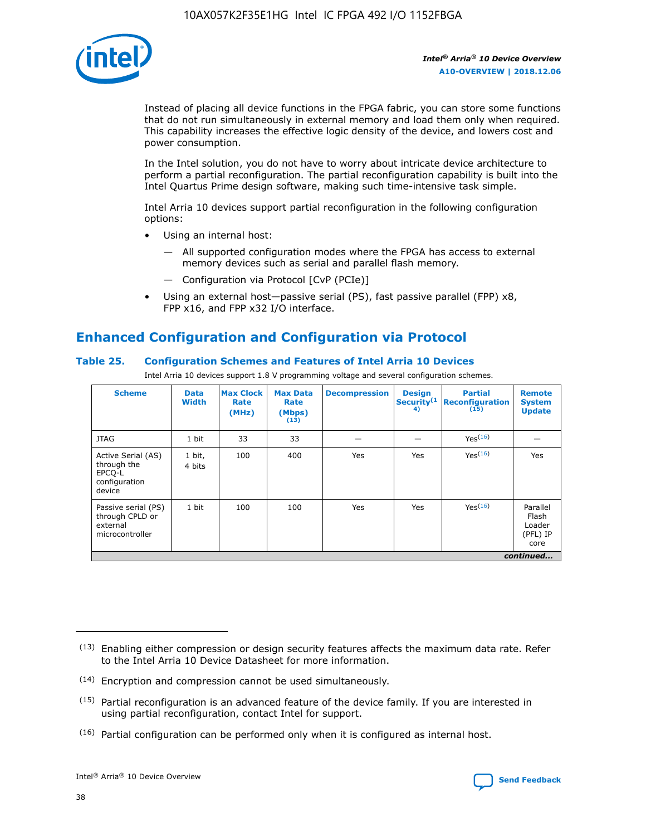

Instead of placing all device functions in the FPGA fabric, you can store some functions that do not run simultaneously in external memory and load them only when required. This capability increases the effective logic density of the device, and lowers cost and power consumption.

In the Intel solution, you do not have to worry about intricate device architecture to perform a partial reconfiguration. The partial reconfiguration capability is built into the Intel Quartus Prime design software, making such time-intensive task simple.

Intel Arria 10 devices support partial reconfiguration in the following configuration options:

- Using an internal host:
	- All supported configuration modes where the FPGA has access to external memory devices such as serial and parallel flash memory.
	- Configuration via Protocol [CvP (PCIe)]
- Using an external host—passive serial (PS), fast passive parallel (FPP) x8, FPP x16, and FPP x32 I/O interface.

# **Enhanced Configuration and Configuration via Protocol**

## **Table 25. Configuration Schemes and Features of Intel Arria 10 Devices**

Intel Arria 10 devices support 1.8 V programming voltage and several configuration schemes.

| <b>Scheme</b>                                                          | <b>Data</b><br><b>Width</b> | <b>Max Clock</b><br>Rate<br>(MHz) | <b>Max Data</b><br>Rate<br>(Mbps)<br>(13) | <b>Decompression</b> | <b>Design</b><br>Security <sup>(1</sup><br>4) | <b>Partial</b><br><b>Reconfiguration</b><br>(15) | <b>Remote</b><br><b>System</b><br><b>Update</b> |
|------------------------------------------------------------------------|-----------------------------|-----------------------------------|-------------------------------------------|----------------------|-----------------------------------------------|--------------------------------------------------|-------------------------------------------------|
| <b>JTAG</b>                                                            | 1 bit                       | 33                                | 33                                        |                      |                                               | Yes(16)                                          |                                                 |
| Active Serial (AS)<br>through the<br>EPCO-L<br>configuration<br>device | 1 bit,<br>4 bits            | 100                               | 400                                       | Yes                  | Yes                                           | $Y_{PS}(16)$                                     | Yes                                             |
| Passive serial (PS)<br>through CPLD or<br>external<br>microcontroller  | 1 bit                       | 100                               | 100                                       | Yes                  | Yes                                           | Yes(16)                                          | Parallel<br>Flash<br>Loader<br>(PFL) IP<br>core |
|                                                                        |                             |                                   |                                           |                      |                                               |                                                  | continued                                       |

<sup>(13)</sup> Enabling either compression or design security features affects the maximum data rate. Refer to the Intel Arria 10 Device Datasheet for more information.

<sup>(14)</sup> Encryption and compression cannot be used simultaneously.

 $(15)$  Partial reconfiguration is an advanced feature of the device family. If you are interested in using partial reconfiguration, contact Intel for support.

 $(16)$  Partial configuration can be performed only when it is configured as internal host.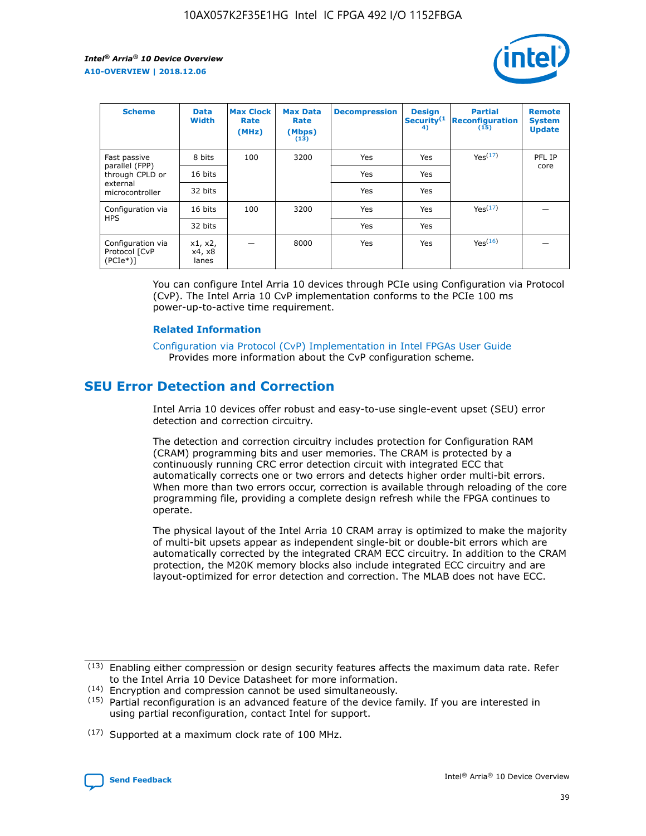

| <b>Scheme</b>                                    | <b>Data</b><br><b>Width</b> | <b>Max Clock</b><br>Rate<br>(MHz) | <b>Max Data</b><br>Rate<br>(Mbps)<br>(13) | <b>Decompression</b> | <b>Design</b><br>Security <sup>(1</sup><br>4) | <b>Partial</b><br><b>Reconfiguration</b><br>(15) | <b>Remote</b><br><b>System</b><br><b>Update</b> |
|--------------------------------------------------|-----------------------------|-----------------------------------|-------------------------------------------|----------------------|-----------------------------------------------|--------------------------------------------------|-------------------------------------------------|
| Fast passive                                     | 8 bits                      | 100                               | 3200                                      | <b>Yes</b>           | Yes                                           | Yes(17)                                          | PFL IP                                          |
| parallel (FPP)<br>through CPLD or                | 16 bits                     |                                   |                                           | Yes                  | Yes                                           |                                                  | core                                            |
| external<br>microcontroller                      | 32 bits                     |                                   |                                           | Yes                  | Yes                                           |                                                  |                                                 |
| Configuration via                                | 16 bits                     | 100                               | 3200                                      | Yes                  | Yes                                           | Yes <sup>(17)</sup>                              |                                                 |
| <b>HPS</b>                                       | 32 bits                     |                                   |                                           | Yes                  | Yes                                           |                                                  |                                                 |
| Configuration via<br>Protocol [CvP<br>$(PCIe^*)$ | x1, x2,<br>x4, x8<br>lanes  |                                   | 8000                                      | Yes                  | Yes                                           | Yes <sup>(16)</sup>                              |                                                 |

You can configure Intel Arria 10 devices through PCIe using Configuration via Protocol (CvP). The Intel Arria 10 CvP implementation conforms to the PCIe 100 ms power-up-to-active time requirement.

#### **Related Information**

[Configuration via Protocol \(CvP\) Implementation in Intel FPGAs User Guide](https://www.intel.com/content/www/us/en/programmable/documentation/dsu1441819344145.html#dsu1442269728522) Provides more information about the CvP configuration scheme.

# **SEU Error Detection and Correction**

Intel Arria 10 devices offer robust and easy-to-use single-event upset (SEU) error detection and correction circuitry.

The detection and correction circuitry includes protection for Configuration RAM (CRAM) programming bits and user memories. The CRAM is protected by a continuously running CRC error detection circuit with integrated ECC that automatically corrects one or two errors and detects higher order multi-bit errors. When more than two errors occur, correction is available through reloading of the core programming file, providing a complete design refresh while the FPGA continues to operate.

The physical layout of the Intel Arria 10 CRAM array is optimized to make the majority of multi-bit upsets appear as independent single-bit or double-bit errors which are automatically corrected by the integrated CRAM ECC circuitry. In addition to the CRAM protection, the M20K memory blocks also include integrated ECC circuitry and are layout-optimized for error detection and correction. The MLAB does not have ECC.

(14) Encryption and compression cannot be used simultaneously.

<sup>(17)</sup> Supported at a maximum clock rate of 100 MHz.



 $(13)$  Enabling either compression or design security features affects the maximum data rate. Refer to the Intel Arria 10 Device Datasheet for more information.

 $(15)$  Partial reconfiguration is an advanced feature of the device family. If you are interested in using partial reconfiguration, contact Intel for support.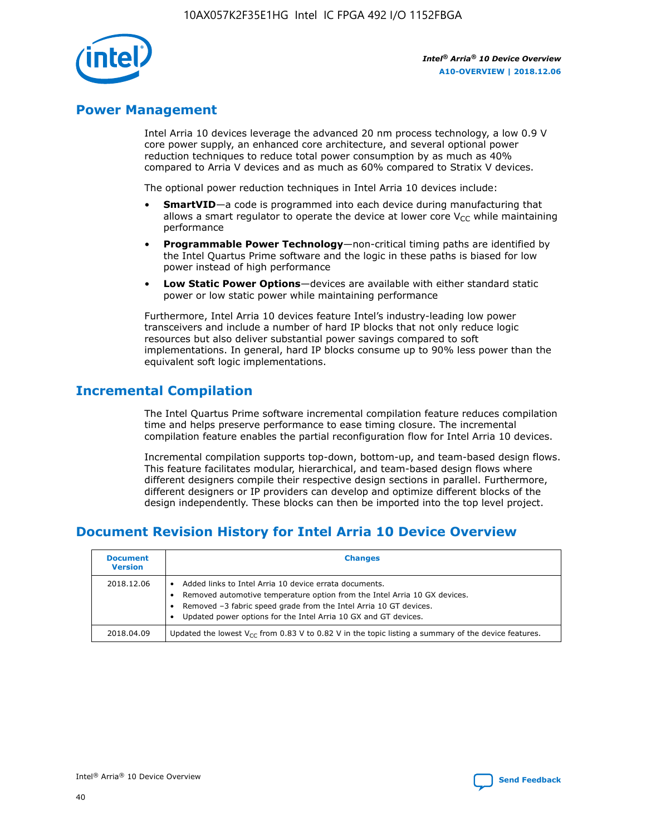

## **Power Management**

Intel Arria 10 devices leverage the advanced 20 nm process technology, a low 0.9 V core power supply, an enhanced core architecture, and several optional power reduction techniques to reduce total power consumption by as much as 40% compared to Arria V devices and as much as 60% compared to Stratix V devices.

The optional power reduction techniques in Intel Arria 10 devices include:

- **SmartVID**—a code is programmed into each device during manufacturing that allows a smart regulator to operate the device at lower core  $V_{CC}$  while maintaining performance
- **Programmable Power Technology**—non-critical timing paths are identified by the Intel Quartus Prime software and the logic in these paths is biased for low power instead of high performance
- **Low Static Power Options**—devices are available with either standard static power or low static power while maintaining performance

Furthermore, Intel Arria 10 devices feature Intel's industry-leading low power transceivers and include a number of hard IP blocks that not only reduce logic resources but also deliver substantial power savings compared to soft implementations. In general, hard IP blocks consume up to 90% less power than the equivalent soft logic implementations.

# **Incremental Compilation**

The Intel Quartus Prime software incremental compilation feature reduces compilation time and helps preserve performance to ease timing closure. The incremental compilation feature enables the partial reconfiguration flow for Intel Arria 10 devices.

Incremental compilation supports top-down, bottom-up, and team-based design flows. This feature facilitates modular, hierarchical, and team-based design flows where different designers compile their respective design sections in parallel. Furthermore, different designers or IP providers can develop and optimize different blocks of the design independently. These blocks can then be imported into the top level project.

# **Document Revision History for Intel Arria 10 Device Overview**

| <b>Document</b><br><b>Version</b> | <b>Changes</b>                                                                                                                                                                                                                                                              |
|-----------------------------------|-----------------------------------------------------------------------------------------------------------------------------------------------------------------------------------------------------------------------------------------------------------------------------|
| 2018.12.06                        | Added links to Intel Arria 10 device errata documents.<br>Removed automotive temperature option from the Intel Arria 10 GX devices.<br>Removed -3 fabric speed grade from the Intel Arria 10 GT devices.<br>Updated power options for the Intel Arria 10 GX and GT devices. |
| 2018.04.09                        | Updated the lowest $V_{CC}$ from 0.83 V to 0.82 V in the topic listing a summary of the device features.                                                                                                                                                                    |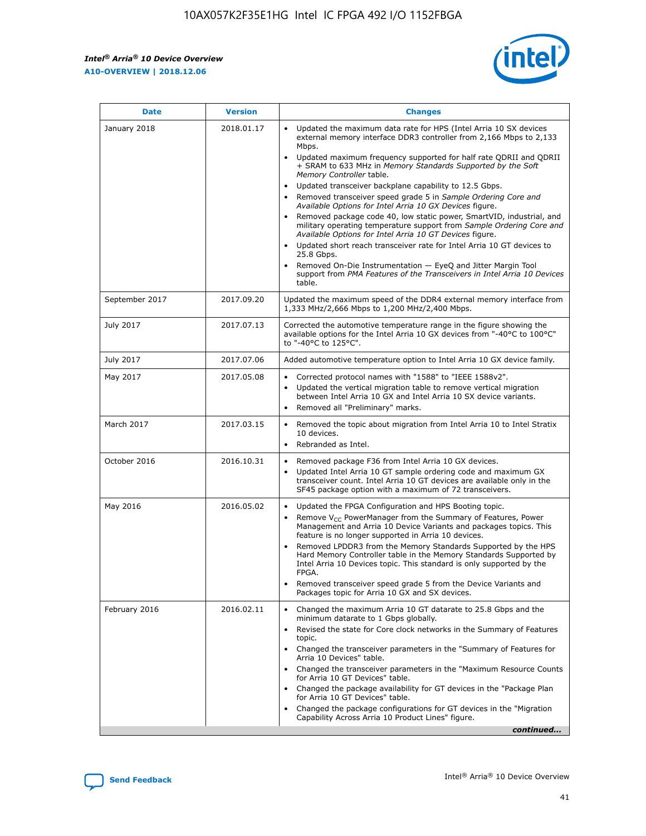*Intel® Arria® 10 Device Overview* **A10-OVERVIEW | 2018.12.06**



| <b>Date</b>    | <b>Version</b> | <b>Changes</b>                                                                                                                                                                                                                                                                                                                                                                                                                                                                                                                                                                                                                                                                                                                                                                                                                                                                                                                                                            |
|----------------|----------------|---------------------------------------------------------------------------------------------------------------------------------------------------------------------------------------------------------------------------------------------------------------------------------------------------------------------------------------------------------------------------------------------------------------------------------------------------------------------------------------------------------------------------------------------------------------------------------------------------------------------------------------------------------------------------------------------------------------------------------------------------------------------------------------------------------------------------------------------------------------------------------------------------------------------------------------------------------------------------|
| January 2018   | 2018.01.17     | Updated the maximum data rate for HPS (Intel Arria 10 SX devices<br>external memory interface DDR3 controller from 2,166 Mbps to 2,133<br>Mbps.<br>Updated maximum frequency supported for half rate QDRII and QDRII<br>+ SRAM to 633 MHz in Memory Standards Supported by the Soft<br>Memory Controller table.<br>Updated transceiver backplane capability to 12.5 Gbps.<br>$\bullet$<br>Removed transceiver speed grade 5 in Sample Ordering Core and<br>Available Options for Intel Arria 10 GX Devices figure.<br>Removed package code 40, low static power, SmartVID, industrial, and<br>military operating temperature support from Sample Ordering Core and<br>Available Options for Intel Arria 10 GT Devices figure.<br>Updated short reach transceiver rate for Intel Arria 10 GT devices to<br>25.8 Gbps.<br>Removed On-Die Instrumentation - EyeQ and Jitter Margin Tool<br>support from PMA Features of the Transceivers in Intel Arria 10 Devices<br>table. |
| September 2017 | 2017.09.20     | Updated the maximum speed of the DDR4 external memory interface from<br>1,333 MHz/2,666 Mbps to 1,200 MHz/2,400 Mbps.                                                                                                                                                                                                                                                                                                                                                                                                                                                                                                                                                                                                                                                                                                                                                                                                                                                     |
| July 2017      | 2017.07.13     | Corrected the automotive temperature range in the figure showing the<br>available options for the Intel Arria 10 GX devices from "-40°C to 100°C"<br>to "-40°C to 125°C".                                                                                                                                                                                                                                                                                                                                                                                                                                                                                                                                                                                                                                                                                                                                                                                                 |
| July 2017      | 2017.07.06     | Added automotive temperature option to Intel Arria 10 GX device family.                                                                                                                                                                                                                                                                                                                                                                                                                                                                                                                                                                                                                                                                                                                                                                                                                                                                                                   |
| May 2017       | 2017.05.08     | Corrected protocol names with "1588" to "IEEE 1588v2".<br>$\bullet$<br>Updated the vertical migration table to remove vertical migration<br>$\bullet$<br>between Intel Arria 10 GX and Intel Arria 10 SX device variants.<br>Removed all "Preliminary" marks.<br>$\bullet$                                                                                                                                                                                                                                                                                                                                                                                                                                                                                                                                                                                                                                                                                                |
| March 2017     | 2017.03.15     | Removed the topic about migration from Intel Arria 10 to Intel Stratix<br>10 devices.<br>Rebranded as Intel.<br>$\bullet$                                                                                                                                                                                                                                                                                                                                                                                                                                                                                                                                                                                                                                                                                                                                                                                                                                                 |
| October 2016   | 2016.10.31     | Removed package F36 from Intel Arria 10 GX devices.<br>Updated Intel Arria 10 GT sample ordering code and maximum GX<br>$\bullet$<br>transceiver count. Intel Arria 10 GT devices are available only in the<br>SF45 package option with a maximum of 72 transceivers.                                                                                                                                                                                                                                                                                                                                                                                                                                                                                                                                                                                                                                                                                                     |
| May 2016       | 2016.05.02     | Updated the FPGA Configuration and HPS Booting topic.<br>$\bullet$<br>Remove V <sub>CC</sub> PowerManager from the Summary of Features, Power<br>Management and Arria 10 Device Variants and packages topics. This<br>feature is no longer supported in Arria 10 devices.<br>Removed LPDDR3 from the Memory Standards Supported by the HPS<br>Hard Memory Controller table in the Memory Standards Supported by<br>Intel Arria 10 Devices topic. This standard is only supported by the<br>FPGA.<br>Removed transceiver speed grade 5 from the Device Variants and<br>Packages topic for Arria 10 GX and SX devices.                                                                                                                                                                                                                                                                                                                                                      |
| February 2016  | 2016.02.11     | Changed the maximum Arria 10 GT datarate to 25.8 Gbps and the<br>minimum datarate to 1 Gbps globally.<br>Revised the state for Core clock networks in the Summary of Features<br>$\bullet$<br>topic.<br>Changed the transceiver parameters in the "Summary of Features for<br>$\bullet$<br>Arria 10 Devices" table.<br>• Changed the transceiver parameters in the "Maximum Resource Counts<br>for Arria 10 GT Devices" table.<br>Changed the package availability for GT devices in the "Package Plan<br>for Arria 10 GT Devices" table.<br>Changed the package configurations for GT devices in the "Migration"<br>Capability Across Arria 10 Product Lines" figure.<br>continued                                                                                                                                                                                                                                                                                       |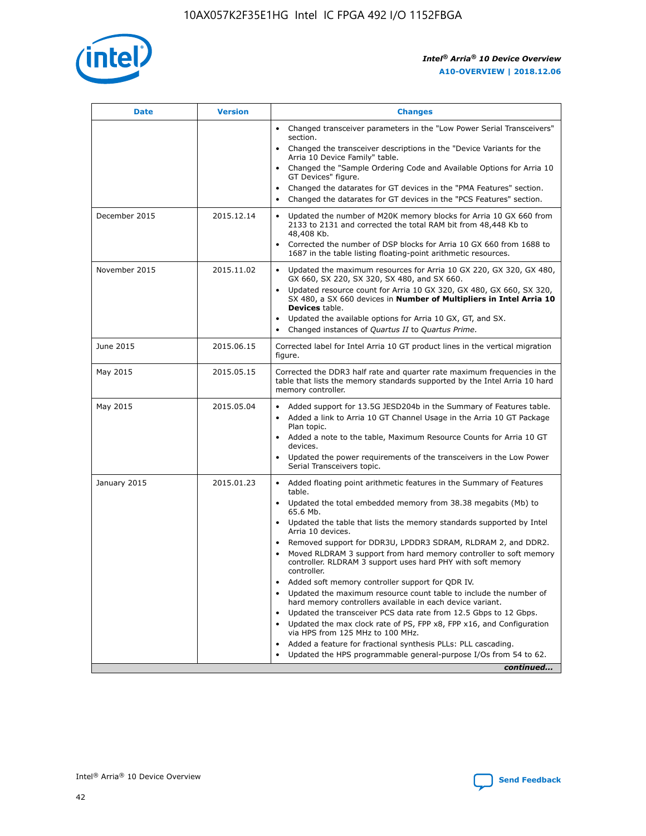

| <b>Date</b>   | <b>Version</b> | <b>Changes</b>                                                                                                                                                               |
|---------------|----------------|------------------------------------------------------------------------------------------------------------------------------------------------------------------------------|
|               |                | • Changed transceiver parameters in the "Low Power Serial Transceivers"<br>section.                                                                                          |
|               |                | • Changed the transceiver descriptions in the "Device Variants for the<br>Arria 10 Device Family" table.                                                                     |
|               |                | Changed the "Sample Ordering Code and Available Options for Arria 10<br>$\bullet$<br>GT Devices" figure.                                                                     |
|               |                | Changed the datarates for GT devices in the "PMA Features" section.                                                                                                          |
|               |                | Changed the datarates for GT devices in the "PCS Features" section.<br>$\bullet$                                                                                             |
| December 2015 | 2015.12.14     | Updated the number of M20K memory blocks for Arria 10 GX 660 from<br>2133 to 2131 and corrected the total RAM bit from 48,448 Kb to<br>48,408 Kb.                            |
|               |                | Corrected the number of DSP blocks for Arria 10 GX 660 from 1688 to<br>1687 in the table listing floating-point arithmetic resources.                                        |
| November 2015 | 2015.11.02     | Updated the maximum resources for Arria 10 GX 220, GX 320, GX 480,<br>$\bullet$<br>GX 660, SX 220, SX 320, SX 480, and SX 660.                                               |
|               |                | • Updated resource count for Arria 10 GX 320, GX 480, GX 660, SX 320,<br>SX 480, a SX 660 devices in Number of Multipliers in Intel Arria 10<br><b>Devices</b> table.        |
|               |                | Updated the available options for Arria 10 GX, GT, and SX.                                                                                                                   |
|               |                | Changed instances of Quartus II to Quartus Prime.<br>$\bullet$                                                                                                               |
| June 2015     | 2015.06.15     | Corrected label for Intel Arria 10 GT product lines in the vertical migration<br>figure.                                                                                     |
| May 2015      | 2015.05.15     | Corrected the DDR3 half rate and quarter rate maximum frequencies in the<br>table that lists the memory standards supported by the Intel Arria 10 hard<br>memory controller. |
| May 2015      | 2015.05.04     | • Added support for 13.5G JESD204b in the Summary of Features table.<br>• Added a link to Arria 10 GT Channel Usage in the Arria 10 GT Package<br>Plan topic.                |
|               |                | • Added a note to the table, Maximum Resource Counts for Arria 10 GT<br>devices.                                                                                             |
|               |                | • Updated the power requirements of the transceivers in the Low Power<br>Serial Transceivers topic.                                                                          |
| January 2015  | 2015.01.23     | • Added floating point arithmetic features in the Summary of Features<br>table.                                                                                              |
|               |                | • Updated the total embedded memory from 38.38 megabits (Mb) to<br>65.6 Mb.                                                                                                  |
|               |                | • Updated the table that lists the memory standards supported by Intel<br>Arria 10 devices.                                                                                  |
|               |                | Removed support for DDR3U, LPDDR3 SDRAM, RLDRAM 2, and DDR2.                                                                                                                 |
|               |                | Moved RLDRAM 3 support from hard memory controller to soft memory<br>controller. RLDRAM 3 support uses hard PHY with soft memory<br>controller.                              |
|               |                | Added soft memory controller support for QDR IV.<br>٠                                                                                                                        |
|               |                | Updated the maximum resource count table to include the number of<br>hard memory controllers available in each device variant.                                               |
|               |                | Updated the transceiver PCS data rate from 12.5 Gbps to 12 Gbps.<br>$\bullet$                                                                                                |
|               |                | Updated the max clock rate of PS, FPP x8, FPP x16, and Configuration<br>via HPS from 125 MHz to 100 MHz.                                                                     |
|               |                | Added a feature for fractional synthesis PLLs: PLL cascading.                                                                                                                |
|               |                | Updated the HPS programmable general-purpose I/Os from 54 to 62.<br>$\bullet$<br>continued                                                                                   |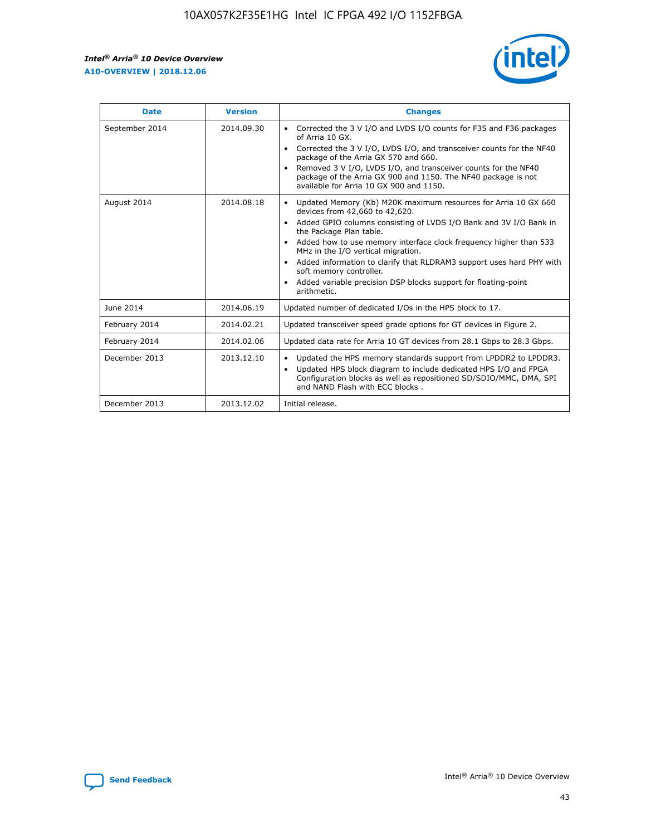r



| <b>Date</b>    | <b>Version</b> | <b>Changes</b>                                                                                                                                                                                                                                                                                                                                                                                                                                                                                                                         |
|----------------|----------------|----------------------------------------------------------------------------------------------------------------------------------------------------------------------------------------------------------------------------------------------------------------------------------------------------------------------------------------------------------------------------------------------------------------------------------------------------------------------------------------------------------------------------------------|
| September 2014 | 2014.09.30     | Corrected the 3 V I/O and LVDS I/O counts for F35 and F36 packages<br>of Arria 10 GX.<br>Corrected the 3 V I/O, LVDS I/O, and transceiver counts for the NF40<br>package of the Arria GX 570 and 660.<br>Removed 3 V I/O, LVDS I/O, and transceiver counts for the NF40<br>package of the Arria GX 900 and 1150. The NF40 package is not<br>available for Arria 10 GX 900 and 1150.                                                                                                                                                    |
| August 2014    | 2014.08.18     | Updated Memory (Kb) M20K maximum resources for Arria 10 GX 660<br>devices from 42,660 to 42,620.<br>Added GPIO columns consisting of LVDS I/O Bank and 3V I/O Bank in<br>$\bullet$<br>the Package Plan table.<br>Added how to use memory interface clock frequency higher than 533<br>$\bullet$<br>MHz in the I/O vertical migration.<br>Added information to clarify that RLDRAM3 support uses hard PHY with<br>$\bullet$<br>soft memory controller.<br>Added variable precision DSP blocks support for floating-point<br>arithmetic. |
| June 2014      | 2014.06.19     | Updated number of dedicated I/Os in the HPS block to 17.                                                                                                                                                                                                                                                                                                                                                                                                                                                                               |
| February 2014  | 2014.02.21     | Updated transceiver speed grade options for GT devices in Figure 2.                                                                                                                                                                                                                                                                                                                                                                                                                                                                    |
| February 2014  | 2014.02.06     | Updated data rate for Arria 10 GT devices from 28.1 Gbps to 28.3 Gbps.                                                                                                                                                                                                                                                                                                                                                                                                                                                                 |
| December 2013  | 2013.12.10     | Updated the HPS memory standards support from LPDDR2 to LPDDR3.<br>Updated HPS block diagram to include dedicated HPS I/O and FPGA<br>$\bullet$<br>Configuration blocks as well as repositioned SD/SDIO/MMC, DMA, SPI<br>and NAND Flash with ECC blocks.                                                                                                                                                                                                                                                                               |
| December 2013  | 2013.12.02     | Initial release.                                                                                                                                                                                                                                                                                                                                                                                                                                                                                                                       |